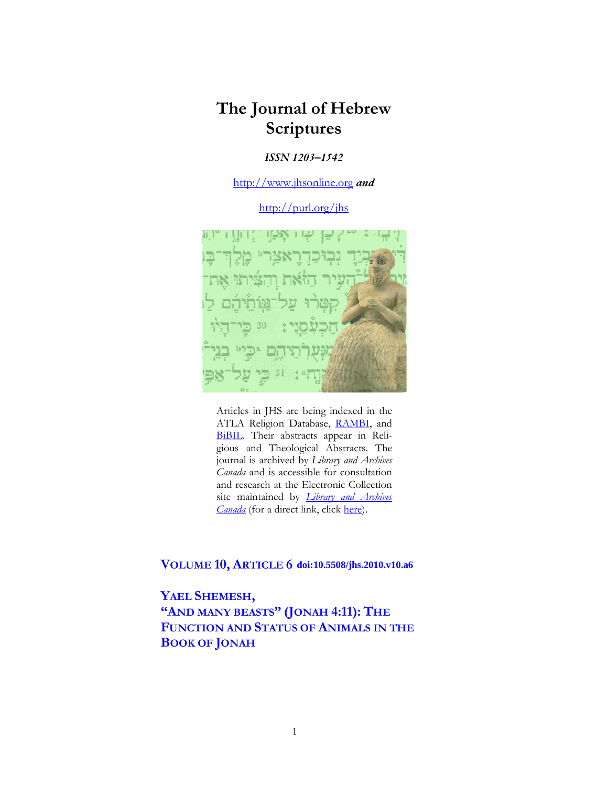# **The Journal of Hebrew Scriptures**

### *ISSN 1203–1542*

[http://www.jhsonline.org](http://www.jhsonline.org/) *and*

<http://purl.org/jhs>



Articles in JHS are being indexed in the ATLA Religion Database, [RAMBI,](http://jnul.huji.ac.il/rambi/) and [BiBIL.](https://wwwdbunil.unil.ch/bibil/bi/en/bibilhome.html) Their abstracts appear in Religious and Theological Abstracts. The journal is archived by *Library and Archives Canada* and is accessible for consultation and research at the Electronic Collection site maintained by *[Library and Archives](http://collectionscanada.ca/electroniccollection/003008-200-e.html)  [Canada](http://collectionscanada.ca/electroniccollection/003008-200-e.html)* (for a direct link, click [here\)](http://epe.lac-bac.gc.ca/100/201/300/journal_hebrew/index.html).

**VOLUME 10, ARTICLE 6 doi:10.5508/jhs.2010.v10.a6**

## **YAEL SHEMESH, "AND MANY BEASTS" (JONAH 4:11): THE FUNCTION AND STATUS OF ANIMALS IN THE BOOK OF JONAH**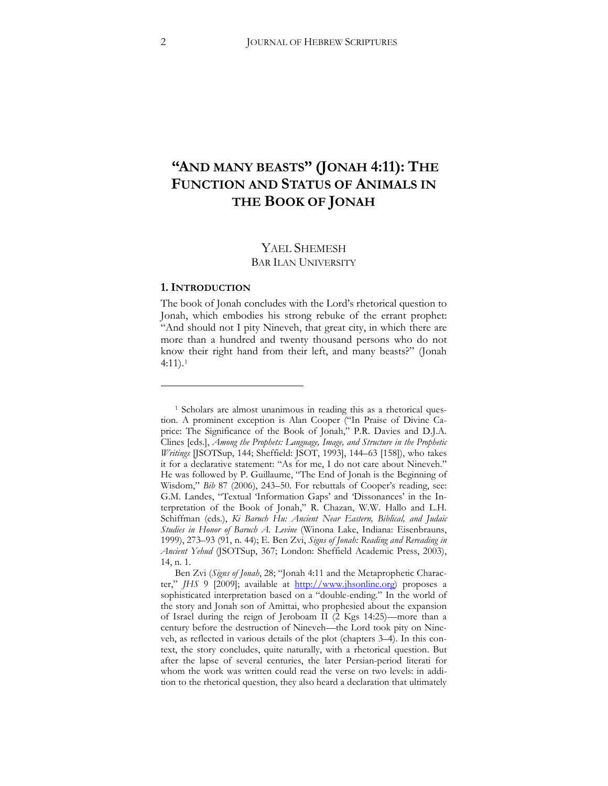## **"AND MANY BEASTS" (JONAH 4:11): THE FUNCTION AND STATUS OF ANIMALS IN THE BOOK OF JONAH**

## YAEL SHEMESH BAR ILAN UNIVERSITY

#### **1. INTRODUCTION**

 $\overline{a}$ 

The book of Jonah concludes with the Lord's rhetorical question to Jonah, which embodies his strong rebuke of the errant prophet: "And should not I pity Nineveh, that great city, in which there are more than a hundred and twenty thousand persons who do not know their right hand from their left, and many beasts?" (Jonah 4:11).[1](#page-1-0)

<span id="page-1-0"></span><sup>&</sup>lt;sup>1</sup> Scholars are almost unanimous in reading this as a rhetorical question. A prominent exception is Alan Cooper ("In Praise of Divine Caprice: The Significance of the Book of Jonah," P.R. Davies and D.J.A. Clines [eds.], *Among the Prophets: Language, Image, and Structure in the Prophetic Writings* [JSOTSup, 144; Sheffield: JSOT, 1993], 144–63 [158]), who takes it for a declarative statement: "As for me, I do not care about Nineveh." He was followed by P. Guillaume, "The End of Jonah is the Beginning of Wisdom," *Bib* 87 (2006), 243–50. For rebuttals of Cooper's reading, see: G.M. Landes, "Textual 'Information Gaps' and 'Dissonances' in the Interpretation of the Book of Jonah," R. Chazan, W.W. Hallo and L.H. Schiffman (eds.), *Ki Baruch Hu: Ancient Near Eastern, Biblical, and Judaic Studies in Honor of Baruch A. Levine* (Winona Lake, Indiana: Eisenbrauns, 1999), 273-93 (91, n. 44); E. Ben Zvi, *Signs of Jonah: Reading and Rereading in* Ancient Yehud (JSOTSup, 367; London: Sheffield Academic Press, 2003), 14, n. 1.

Ben Zvi (*Signs of Jonah*, 28; "Jonah 4:11 and the Metaprophetic Character," *JHS* 9 [2009]; available at **http://www.jhsonline.org**) proposes a sophisticated interpretation based on a "double-ending." In the world of the story and Jonah son of Amittai, who prophesied about the expansion of Israel during the reign of Jeroboam II (2 Kgs 14:25)—more than a century before the destruction of Nineveh—the Lord took pity on Nineveh, as reflected in various details of the plot (chapters 3–4). In this context, the story concludes, quite naturally, with a rhetorical question. But after the lapse of several centuries, the later Persian-period literati for whom the work was written could read the verse on two levels: in addition to the rhetorical question, they also heard a declaration that ultimately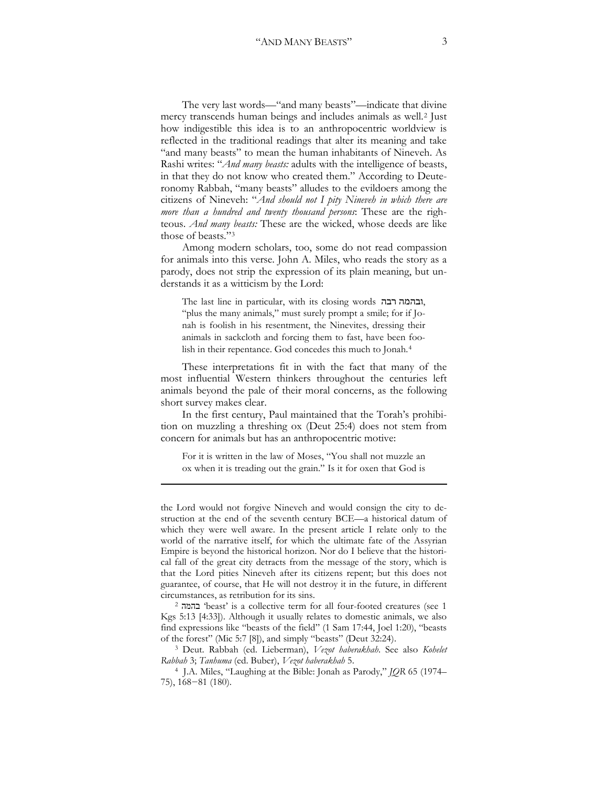The very last words—"and many beasts"—indicate that divine mercy transcends human beings and includes animals as well.[2](#page-2-0) Just how indigestible this idea is to an anthropocentric worldview is reflected in the traditional readings that alter its meaning and take "and many beasts" to mean the human inhabitants of Nineveh. As Rashi writes: "*And many beasts:* adults with the intelligence of beasts, in that they do not know who created them." According to Deuteronomy Rabbah, "many beasts" alludes to the evildoers among the citizens of Nineveh: "*And should not I pity Nineveh in which there are more than a hundred and twenty thousand persons*: These are the righteous. *And many beasts:* These are the wicked, whose deeds are like those of beasts."[3](#page-2-1)

Among modern scholars, too, some do not read compassion for animals into this verse. John A. Miles, who reads the story as a parody, does not strip the expression of its plain meaning, but understands it as a witticism by the Lord:

The last line in particular, with its closing words , "plus the many animals," must surely prompt a smile; for if Jonah is foolish in his resentment, the Ninevites, dressing their animals in sackcloth and forcing them to fast, have been foolish in their repentance. God concedes this much to Jonah.[4](#page-2-2)

These interpretations fit in with the fact that many of the most influential Western thinkers throughout the centuries left animals beyond the pale of their moral concerns, as the following short survey makes clear.

In the first century, Paul maintained that the Torah's prohibition on muzzling a threshing ox (Deut 25:4) does not stem from concern for animals but has an anthropocentric motive:

For it is written in the law of Moses, "You shall not muzzle an ox when it is treading out the grain." Is it for oxen that God is

<u>.</u>

the Lord would not forgive Nineveh and would consign the city to destruction at the end of the seventh century BCE—a historical datum of which they were well aware. In the present article I relate only to the world of the narrative itself, for which the ultimate fate of the Assyrian Empire is beyond the historical horizon. Nor do I believe that the historical fall of the great city detracts from the message of the story, which is that the Lord pities Nineveh after its citizens repent; but this does not guarantee, of course, that He will not destroy it in the future, in different circumstances, as retribution for its sins.

<span id="page-2-0"></span><sup>2</sup> ʤʮʤʡ 'beast' is a collective term for all four-footed creatures (see 1 Kgs 5:13 [4:33]). Although it usually relates to domestic animals, we also find expressions like "beasts of the field" (1 Sam 17:44, Joel 1:20), "beasts of the forest" (Mic 5:7 [8]), and simply "beasts" (Deut 32:24).

<span id="page-2-1"></span><sup>3</sup> Deut. Rabbah (ed. Lieberman), *Vezot haberakhah*. See also *Kohelet Rabbah* 3` *Tanhuma* (ed. Buber), *Vezot haberakhah* 5.

<span id="page-2-2"></span>4 J.A. Miles, "Laughing at the Bible: Jonah as Parody," *JQR* 65 (1974–  $(75)$ , 168-81  $(180)$ .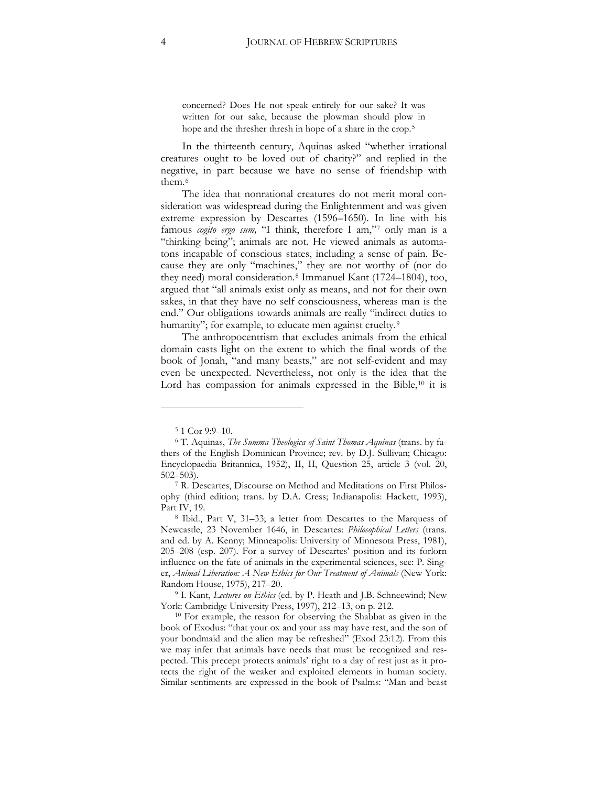concerned? Does He not speak entirely for our sake? It was written for our sake, because the plowman should plow in hope and the thresher thresh in hope of a share in the crop.<sup>[5](#page-3-0)</sup>

In the thirteenth century, Aquinas asked "whether irrational creatures ought to be loved out of charity?" and replied in the negative, in part because we have no sense of friendship with them.[6](#page-3-1)

The idea that nonrational creatures do not merit moral consideration was widespread during the Enlightenment and was given extreme expression by Descartes (1596–1650). In line with his famous *cogito ergo sum,* "I think, therefore I am,"[7](#page-3-2) only man is a "thinking being"; animals are not. He viewed animals as automatons incapable of conscious states, including a sense of pain. Because they are only "machines," they are not worthy of (nor do they need) moral consideration.[8](#page-3-3) Immanuel Kant (1724–1804), too, argued that "all animals exist only as means, and not for their own sakes, in that they have no self consciousness, whereas man is the end." Our obligations towards animals are really "indirect duties to humanity"; for example, to educate men against cruelty.<sup>[9](#page-3-4)</sup>

The anthropocentrism that excludes animals from the ethical domain casts light on the extent to which the final words of the book of Jonah, "and many beasts," are not self-evident and may even be unexpected. Nevertheless, not only is the idea that the Lord has compassion for animals expressed in the Bible,<sup>[10](#page-3-5)</sup> it is

 $\overline{a}$ 

<span id="page-3-4"></span><sup>9</sup> I. Kant, *Lectures on Ethics* (ed. by P. Heath and J.B. Schneewind; New York: Cambridge University Press, 1997), 212–13, on p. 212.

<span id="page-3-5"></span><sup>10</sup> For example, the reason for observing the Shabbat as given in the book of Exodus: "that your ox and your ass may have rest, and the son of your bondmaid and the alien may be refreshed" (Exod 23:12). From this we may infer that animals have needs that must be recognized and respected. This precept protects animals' right to a day of rest just as it protects the right of the weaker and exploited elements in human society. Similar sentiments are expressed in the book of Psalms: "Man and beast

<span id="page-3-1"></span><span id="page-3-0"></span><sup>&</sup>lt;sup>5</sup> 1 Cor 9:9–10.<br><sup>6</sup> T. Aquinas, *The Summa Theologica of Saint Thomas Aquinas* (trans. by fathers of the English Dominican Province; rev. by D.J. Sullivan; Chicago: Encyclopaedia Britannica, 1952), II, II, Question 25, article 3 (vol. 20, 502–503).

<span id="page-3-2"></span>R. Descartes, Discourse on Method and Meditations on First Philosophy (third edition; trans. by D.A. Cress; Indianapolis: Hackett, 1993), Part IV, 19.

<span id="page-3-3"></span><sup>&</sup>lt;sup>8</sup> Ibid., Part V, 31-33; a letter from Descartes to the Marquess of Newcastle, 23 November 1646, in Descartes: *Philosophical Letters* (trans. and ed. by A. Kenny; Minneapolis: University of Minnesota Press, 1981), 205–208 (esp. 207). For a survey of Descartes' position and its forlorn influence on the fate of animals in the experimental sciences, see: P. Singer, *Animal Liberation: A New Ethics for Our Treatment of Animals* (New York: Random House, 1975), 217–20.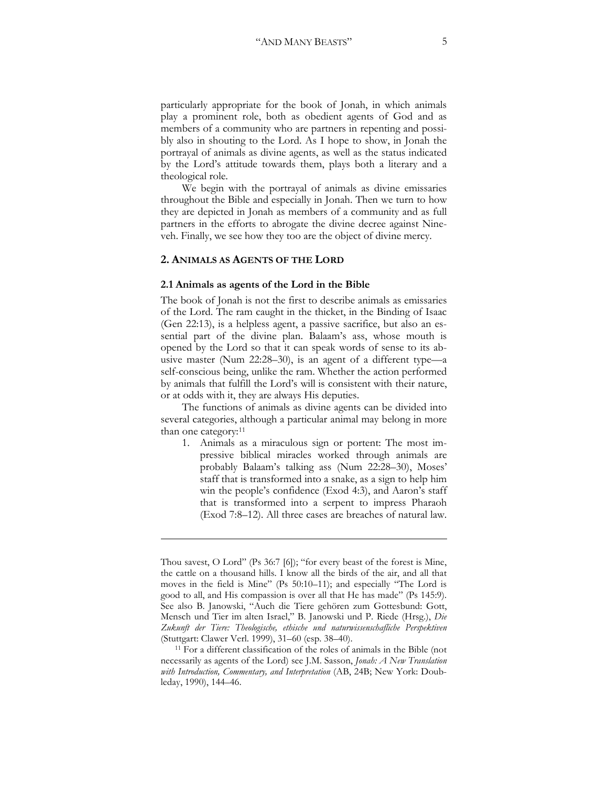particularly appropriate for the book of Jonah, in which animals play a prominent role, both as obedient agents of God and as members of a community who are partners in repenting and possibly also in shouting to the Lord. As I hope to show, in Jonah the portrayal of animals as divine agents, as well as the status indicated by the Lord's attitude towards them, plays both a literary and a theological role.

We begin with the portrayal of animals as divine emissaries throughout the Bible and especially in Jonah. Then we turn to how they are depicted in Jonah as members of a community and as full partners in the efforts to abrogate the divine decree against Nineveh. Finally, we see how they too are the object of divine mercy.

#### **2. ANIMALS AS AGENTS OF THE LORD**

<u>.</u>

#### **2.1 Animals as agents of the Lord in the Bible**

The book of Jonah is not the first to describe animals as emissaries of the Lord. The ram caught in the thicket, in the Binding of Isaac (Gen 22:13), is a helpless agent, a passive sacrifice, but also an essential part of the divine plan. Balaam's ass, whose mouth is opened by the Lord so that it can speak words of sense to its abusive master (Num 22:28–30), is an agent of a different type—a self-conscious being, unlike the ram. Whether the action performed by animals that fulfill the Lord's will is consistent with their nature, or at odds with it, they are always His deputies.

The functions of animals as divine agents can be divided into several categories, although a particular animal may belong in more than one category:[11](#page-4-0)

1. Animals as a miraculous sign or portent: The most impressive biblical miracles worked through animals are probably Balaam's talking ass (Num 22:28–30), Moses' staff that is transformed into a snake, as a sign to help him win the people's confidence (Exod 4:3), and Aaron's staff that is transformed into a serpent to impress Pharaoh (Exod 7:8–12). All three cases are breaches of natural law.

Thou savest, O Lord" (Ps 36:7 [6]); "for every beast of the forest is Mine, the cattle on a thousand hills. I know all the birds of the air, and all that moves in the field is Mine" (Ps 50:10-11); and especially "The Lord is good to all, and His compassion is over all that He has made" (Ps 145:9). See also B. Janowski, "Auch die Tiere gehören zum Gottesbund: Gott, Mensch und Tier im alten Israel," B. Janowski und P. Riede (Hrsg.), *Die Zukunft der Tiere: Theologische, ethische und naturwissenschafliche Perspektiven* (Stuttgart: Clawer Verl. 1999), 31–60 (esp. 38–40).

<span id="page-4-0"></span><sup>11</sup> For a different classification of the roles of animals in the Bible (not necessarily as agents of the Lord) see J.M. Sasson, *Jonah: A New Translation*  with Introduction, Commentary, and Interpretation (AB, 24B; New York: Doubleday, 1990), 144–46.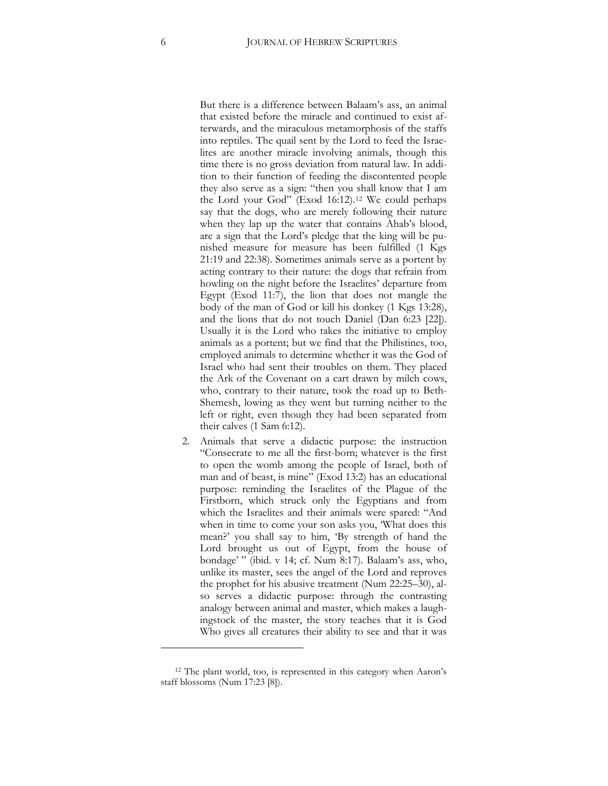But there is a difference between Balaam's ass, an animal that existed before the miracle and continued to exist afterwards, and the miraculous metamorphosis of the staffs into reptiles. The quail sent by the Lord to feed the Israelites are another miracle involving animals, though this time there is no gross deviation from natural law. In addition to their function of feeding the discontented people they also serve as a sign: "then you shall know that I am the Lord your God" (Exod 16:12).[12](#page-5-0) We could perhaps say that the dogs, who are merely following their nature when they lap up the water that contains Ahab's blood, are a sign that the Lord's pledge that the king will be punished measure for measure has been fulfilled (1 Kgs 21:19 and 22:38). Sometimes animals serve as a portent by acting contrary to their nature: the dogs that refrain from howling on the night before the Israelites' departure from Egypt (Exod 11:7), the lion that does not mangle the body of the man of God or kill his donkey (1 Kgs 13:28), and the lions that do not touch Daniel (Dan 6:23 [22]). Usually it is the Lord who takes the initiative to employ animals as a portent; but we find that the Philistines, too, employed animals to determine whether it was the God of Israel who had sent their troubles on them. They placed the Ark of the Covenant on a cart drawn by milch cows, who, contrary to their nature, took the road up to Beth-Shemesh, lowing as they went but turning neither to the left or right, even though they had been separated from their calves (1 Sam 6:12).

2. Animals that serve a didactic purpose: the instruction "Consecrate to me all the first-born; whatever is the first to open the womb among the people of Israel, both of man and of beast, is mine" (Exod 13:2) has an educational purpose: reminding the Israelites of the Plague of the Firstborn, which struck only the Egyptians and from which the Israelites and their animals were spared: "And when in time to come your son asks you, 'What does this mean?' you shall say to him, 'By strength of hand the Lord brought us out of Egypt, from the house of bondage'" (ibid. v 14; cf. Num 8:17). Balaam's ass, who, unlike its master, sees the angel of the Lord and reproves the prophet for his abusive treatment (Num 22:25–30), also serves a didactic purpose: through the contrasting analogy between animal and master, which makes a laughingstock of the master, the story teaches that it is God Who gives all creatures their ability to see and that it was

<span id="page-5-0"></span><sup>12</sup> The plant world, too, is represented in this category when Aaron's staff blossoms (Num 17:23 [8]).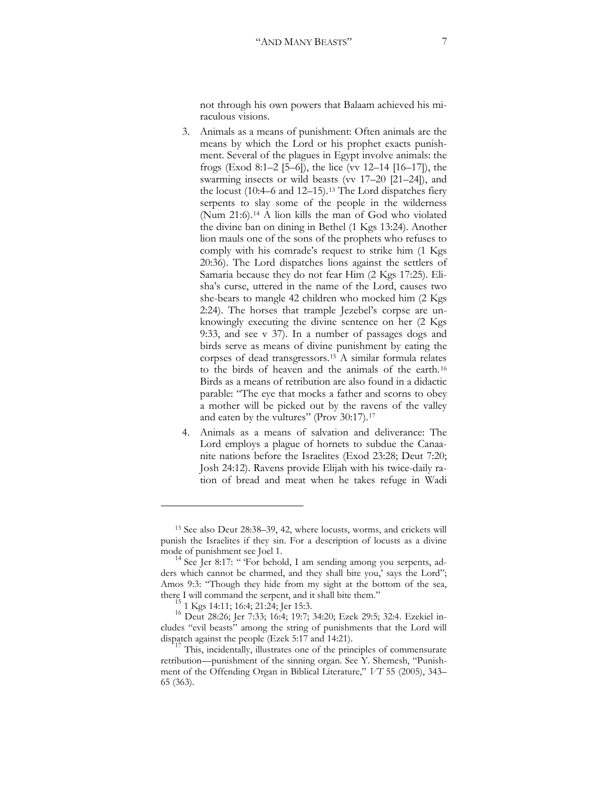not through his own powers that Balaam achieved his miraculous visions.

- 3. Animals as a means of punishment: Often animals are the means by which the Lord or his prophet exacts punishment. Several of the plagues in Egypt involve animals: the frogs (Exod 8:1–2 [5–6]), the lice (vv 12–14 [16–17]), the swarming insects or wild beasts (vv 17–20 [21–24]), and the locust (10:4–6 and 12–15).[13](#page-6-0) The Lord dispatches fiery serpents to slay some of the people in the wilderness (Num 21:6).[14](#page-6-1) A lion kills the man of God who violated the divine ban on dining in Bethel (1 Kgs 13:24). Another lion mauls one of the sons of the prophets who refuses to comply with his comrade's request to strike him (1 Kgs 20:36). The Lord dispatches lions against the settlers of Samaria because they do not fear Him (2 Kgs 17:25). Elisha's curse, uttered in the name of the Lord, causes two she-bears to mangle 42 children who mocked him (2 Kgs 2:24). The horses that trample Jezebel's corpse are unknowingly executing the divine sentence on her (2 Kgs 9:33, and see v 37). In a number of passages dogs and birds serve as means of divine punishment by eating the corpses of dead transgressors.[15](#page-6-2) A similar formula relates to the birds of heaven and the animals of the earth.[16](#page-6-3) Birds as a means of retribution are also found in a didactic parable: "The eye that mocks a father and scorns to obey a mother will be picked out by the ravens of the valley and eaten by the vultures" (Prov 30:[17](#page-6-4)).<sup>17</sup>
- 4. Animals as a means of salvation and deliverance: The Lord employs a plague of hornets to subdue the Canaanite nations before the Israelites (Exod 23:28; Deut 7:20; Josh 24:12). Ravens provide Elijah with his twice-daily ration of bread and meat when he takes refuge in Wadi

<span id="page-6-0"></span><sup>13</sup> See also Deut 28:38–39, 42, where locusts, worms, and crickets will punish the Israelites if they sin. For a description of locusts as a divine mode of punishment see Joel 1.<br><sup>14</sup> See Jer 8:17: " 'For behold, I am sending among you serpents, ad-

<span id="page-6-1"></span>ders which cannot be charmed, and they shall bite you,' says the Lord"; Amos 9:3: "Though they hide from my sight at the bottom of the sea, there I will command the serpent, and it shall bite them."  $15 \tcdot 1 \tcdot \tcdot 15:1$ : 16:4; 21:24; Jer 15:3.

<span id="page-6-3"></span><span id="page-6-2"></span><sup>&</sup>lt;sup>16</sup> Deut 28:26; Jer 7:33; 16:4; 19:7; 34:20; Ezek 29:5; 32:4. Ezekiel includes "evil beasts" among the string of punishments that the Lord will

<span id="page-6-4"></span>dispatch against the people (Ezek 5:17 and 14:21).<br><sup>17</sup> This, incidentally, illustrates one of the principles of commensurate retribution—punishment of the sinning organ. See Y. Shemesh, "Punishment of the Offending Organ in Biblical Literature," *VT* 55 (2005), 343– 65 (363).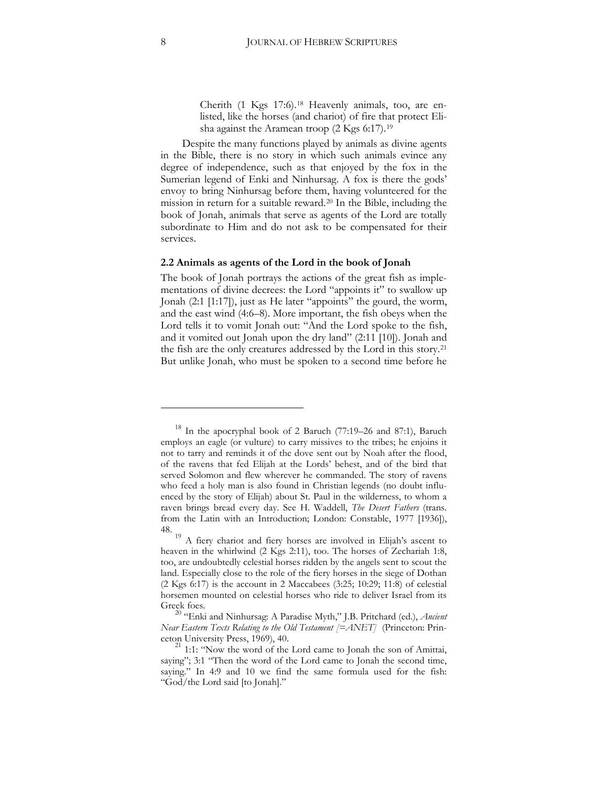Cherith (1 Kgs 17:6).[18](#page-7-0) Heavenly animals, too, are enlisted, like the horses (and chariot) of fire that protect Elisha against the Aramean troop (2 Kgs 6:17).[19](#page-7-1)

Despite the many functions played by animals as divine agents in the Bible, there is no story in which such animals evince any degree of independence, such as that enjoyed by the fox in the Sumerian legend of Enki and Ninhursag. A fox is there the gods' envoy to bring Ninhursag before them, having volunteered for the mission in return for a suitable reward.[20](#page-7-2) In the Bible, including the book of Jonah, animals that serve as agents of the Lord are totally subordinate to Him and do not ask to be compensated for their services.

#### **2.2 Animals as agents of the Lord in the book of Jonah**

The book of Jonah portrays the actions of the great fish as implementations of divine decrees: the Lord "appoints it" to swallow up Jonah (2:1 [1:17]), just as He later "appoints" the gourd, the worm, and the east wind (4:6–8). More important, the fish obeys when the Lord tells it to vomit Jonah out: "And the Lord spoke to the fish, and it vomited out Jonah upon the dry land" (2:11 [10]). Jonah and the fish are the only creatures addressed by the Lord in this story.[21](#page-7-3) But unlike Jonah, who must be spoken to a second time before he

<span id="page-7-0"></span><sup>18</sup> In the apocryphal book of 2 Baruch (77:19–26 and 87:1), Baruch employs an eagle (or vulture) to carry missives to the tribes; he enjoins it not to tarry and reminds it of the dove sent out by Noah after the flood, of the ravens that fed Elijah at the Lords' behest, and of the bird that served Solomon and flew wherever he commanded. The story of ravens who feed a holy man is also found in Christian legends (no doubt influenced by the story of Elijah) about St. Paul in the wilderness, to whom a raven brings bread every day. See H. Waddell, *The Desert Fathers* (trans. from the Latin with an Introduction; London: Constable, 1977 [1936]), 48.

<span id="page-7-1"></span><sup>&</sup>lt;sup>19</sup> A fiery chariot and fiery horses are involved in Elijah's ascent to heaven in the whirlwind (2 Kgs 2:11), too. The horses of Zechariah 1:8, too, are undoubtedly celestial horses ridden by the angels sent to scout the land. Especially close to the role of the fiery horses in the siege of Dothan  $(2$  Kgs 6:17) is the account in 2 Maccabees  $(3:25; 10:29; 11:8)$  of celestial horsemen mounted on celestial horses who ride to deliver Israel from its Greek foes.

<span id="page-7-2"></span><sup>20</sup> "Enki and Ninhursag: A Paradise Myth," J.B. Pritchard (ed.), *Ancient Near Eastern Texts Relating to the Old Testament [=ANET]* (Princeton: Prin-

<span id="page-7-3"></span>ceton University Press, 1969), 40. <sup>21</sup> 1:1: "Now the word of the Lord came to Jonah the son of Amittai, saying"; 3:1 "Then the word of the Lord came to Jonah the second time, saying." In 4:9 and 10 we find the same formula used for the fish: "God/the Lord said [to Jonah]."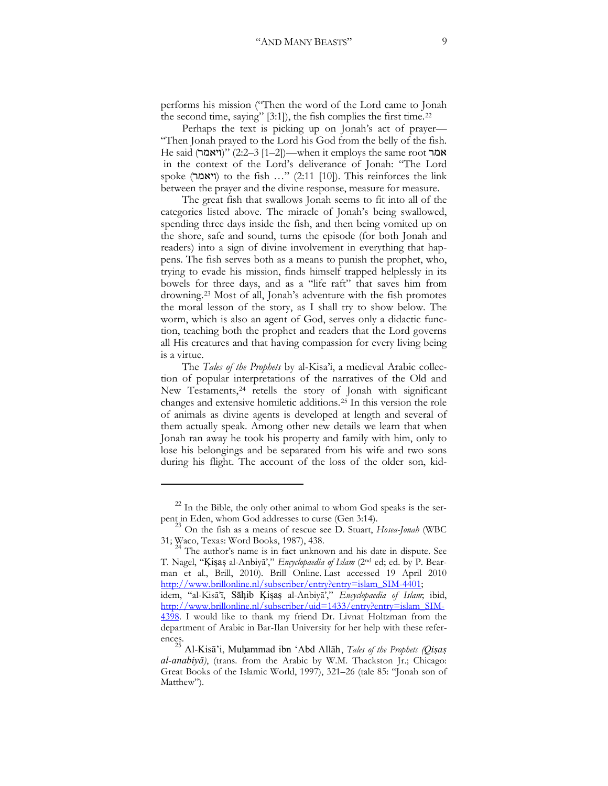performs his mission ("Then the word of the Lord came to Jonah the second time, saying" [3:1]), the fish complies the first time.[22](#page-8-0)

Perhaps the text is picking up on Jonah's act of prayer— "Then Jonah prayed to the Lord his God from the belly of the fish. He said (יאמר)" (2:2–3 [1–2])—when it employs the same root אמר in the context of the Lord's deliverance of Jonah: "The Lord spoke (ויאמר) to the fish ..." (2:11 [10]). This reinforces the link between the prayer and the divine response, measure for measure.

The great fish that swallows Jonah seems to fit into all of the categories listed above. The miracle of Jonah's being swallowed, spending three days inside the fish, and then being vomited up on the shore, safe and sound, turns the episode (for both Jonah and readers) into a sign of divine involvement in everything that happens. The fish serves both as a means to punish the prophet, who, trying to evade his mission, finds himself trapped helplessly in its bowels for three days, and as a "life raft" that saves him from drowning.[23](#page-8-1) Most of all, Jonah's adventure with the fish promotes the moral lesson of the story, as I shall try to show below. The worm, which is also an agent of God, serves only a didactic function, teaching both the prophet and readers that the Lord governs all His creatures and that having compassion for every living being is a virtue.

The *Tales of the Prophets* by al-Kisa'i, a medieval Arabic collection of popular interpretations of the narratives of the Old and New Testaments,[24](#page-8-2) retells the story of Jonah with significant changes and extensive homiletic additions.[25](#page-8-3) In this version the role of animals as divine agents is developed at length and several of them actually speak. Among other new details we learn that when Jonah ran away he took his property and family with him, only to lose his belongings and be separated from his wife and two sons during his flight. The account of the loss of the older son, kid-

 $22$  In the Bible, the only other animal to whom God speaks is the ser-

<span id="page-8-1"></span><span id="page-8-0"></span>pent in Eden, whom God addresses to curse (Gen 3:14).<br><sup>23</sup> On the fish as a means of rescue see D. Stuart, *Hosea-Jonah* (WBC<br>31; Waco, Texas: Word Books, 1987), 438.

<span id="page-8-2"></span>The author's name is in fact unknown and his date in dispute. See T. Nagel, "Kişaş al-Anbiyā'," Encyclopaedia of Islam (2<sup>nd</sup> ed; ed. by P. Bearman et al., Brill, 2010). Brill Online. Last accessed 19 April 2010 http://www.brillonline.nl/subscriber/entry?entry=islam\_SIM-4401; idem, "al-Kisā'ī, Sāhib Kişaş al-Anbiyā'," *Encyclopaedia of Islam*; ibid, [http://www.brillonline.nl/subscriber/uid=1433/entry?entry=islam\\_SIM-](http://www.brillonline.nl/subscriber/uid=1433/entry?entry=islam_SIM-4398)

[<sup>4398.</sup>](http://www.brillonline.nl/subscriber/uid=1433/entry?entry=islam_SIM-4398) I would like to thank my friend Dr. Livnat Holtzman from the department of Arabic in Bar-Ilan University for her help with these refer-

<span id="page-8-3"></span>Al-Kisa<sup>2</sup>i, Muhammad ibn 'Abd Allah, *Tales of the Prophets (Qisas al-anabiyā*), (trans. from the Arabic by W.M. Thackston Jr.; Chicago: Great Books of the Islamic World, 1997), 321–26 (tale 85: "Jonah son of Matthew").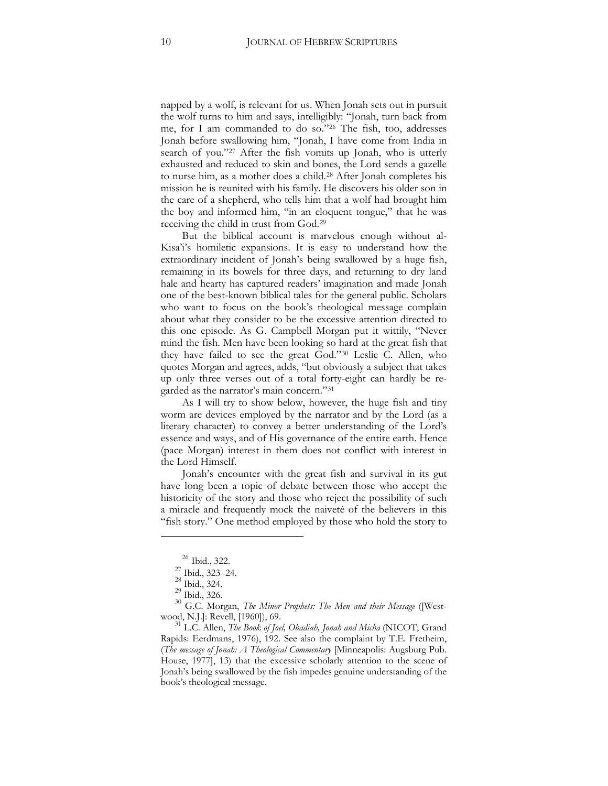napped by a wolf, is relevant for us. When Jonah sets out in pursuit the wolf turns to him and says, intelligibly: "Jonah, turn back from me, for I am commanded to do so."[26](#page-9-0) The fish, too, addresses Jonah before swallowing him, "Jonah, I have come from India in search of you."<sup>[27](#page-9-1)</sup> After the fish vomits up Jonah, who is utterly exhausted and reduced to skin and bones, the Lord sends a gazelle to nurse him, as a mother does a child.[28](#page-9-2) After Jonah completes his mission he is reunited with his family. He discovers his older son in the care of a shepherd, who tells him that a wolf had brought him the boy and informed him, "in an eloquent tongue," that he was receiving the child in trust from God.[29](#page-9-3)

But the biblical account is marvelous enough without al-Kisa'i's homiletic expansions. It is easy to understand how the extraordinary incident of Jonah's being swallowed by a huge fish, remaining in its bowels for three days, and returning to dry land hale and hearty has captured readers' imagination and made Jonah one of the best-known biblical tales for the general public. Scholars who want to focus on the book's theological message complain about what they consider to be the excessive attention directed to this one episode. As G. Campbell Morgan put it wittily, "Never mind the fish. Men have been looking so hard at the great fish that they have failed to see the great God."[30](#page-9-4) Leslie C. Allen, who quotes Morgan and agrees, adds, "but obviously a subject that takes up only three verses out of a total forty-eight can hardly be regarded as the narrator's main concern."[31](#page-9-5)

As I will try to show below, however, the huge fish and tiny worm are devices employed by the narrator and by the Lord (as a literary character) to convey a better understanding of the Lord's essence and ways, and of His governance of the entire earth. Hence (pace Morgan) interest in them does not conflict with interest in the Lord Himself.

Jonah's encounter with the great fish and survival in its gut have long been a topic of debate between those who accept the historicity of the story and those who reject the possibility of such a miracle and frequently mock the naiveté of the believers in this "fish story." One method employed by those who hold the story to

 $\frac{26}{27}$  Ibid., 322.<br>  $\frac{27}{28}$  Ibid., 323–24.<br>
Bid., 324.

<span id="page-9-4"></span><span id="page-9-3"></span><span id="page-9-2"></span><span id="page-9-1"></span><span id="page-9-0"></span><sup>&</sup>lt;sup>29</sup> Ibid., 326.<br><sup>30</sup> G.C. Morgan, *The Minor Prophets: The Men and their Message* ([Westwood, N.J.]: Revell, [1960]), 69.<br><sup>31</sup> L.C. Allen, *The Book of Joel, Obadiah, Jonah and Micha* (NICOT; Grand

<span id="page-9-5"></span>Rapids: Eerdmans, 1976), 192. See also the complaint by T.E. Fretheim, (*The message of Jonah: A Theological Commentary* [Minneapolis: Augsburg Pub. House, 1977], 13) that the excessive scholarly attention to the scene of Jonah's being swallowed by the fish impedes genuine understanding of the book's theological message.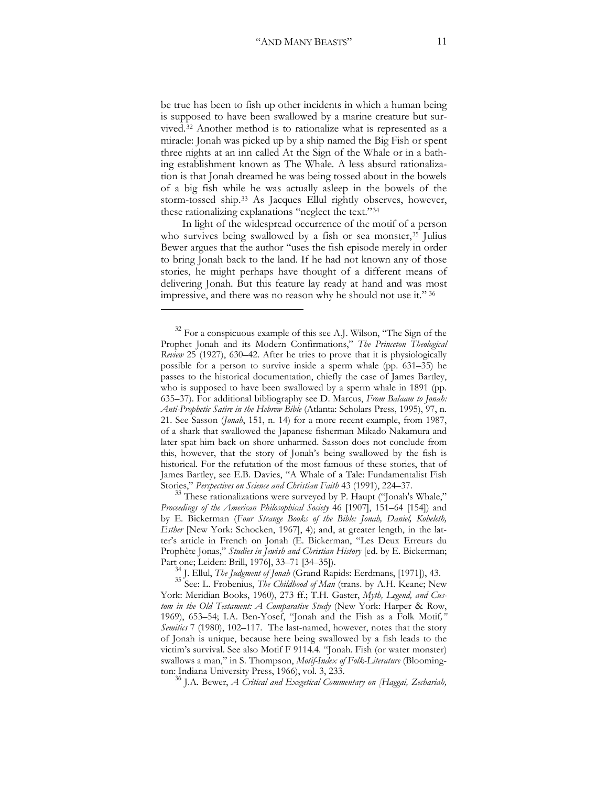be true has been to fish up other incidents in which a human being is supposed to have been swallowed by a marine creature but survived.[32](#page-10-0) Another method is to rationalize what is represented as a miracle: Jonah was picked up by a ship named the Big Fish or spent three nights at an inn called At the Sign of the Whale or in a bathing establishment known as The Whale. A less absurd rationalization is that Jonah dreamed he was being tossed about in the bowels of a big fish while he was actually asleep in the bowels of the storm-tossed ship.[33](#page-10-1) As Jacques Ellul rightly observes, however, these rationalizing explanations "neglect the text."[34](#page-10-2)

In light of the widespread occurrence of the motif of a person who survives being swallowed by a fish or sea monster,<sup>[35](#page-10-3)</sup> Julius Bewer argues that the author "uses the fish episode merely in order to bring Jonah back to the land. If he had not known any of those stories, he might perhaps have thought of a different means of delivering Jonah. But this feature lay ready at hand and was most impressive, and there was no reason why he should not use it." [36](#page-10-4)

<span id="page-10-4"></span>

<span id="page-10-0"></span> $32$  For a conspicuous example of this see A.J. Wilson, "The Sign of the Prophet Jonah and its Modern Confirmations," *The Princeton Theological Review* 25 (1927), 630–42. After he tries to prove that it is physiologically possible for a person to survive inside a sperm whale (pp. 631–35) he passes to the historical documentation, chiefly the case of James Bartley, who is supposed to have been swallowed by a sperm whale in 1891 (pp. 635–37). For additional bibliography see D. Marcus, *From Balaam to Jonah: Anti-Prophetic Satire in the Hebrew Bible* (Atlanta: Scholars Press, 1995), 97, n. 21. See Sasson (*Jonah*, 151, n. 14) for a more recent example, from 1987, of a shark that swallowed the Japanese fisherman Mikado Nakamura and later spat him back on shore unharmed. Sasson does not conclude from this, however, that the story of Jonah's being swallowed by the fish is historical. For the refutation of the most famous of these stories, that of James Bartley, see E.B. Davies, "A Whale of a Tale: Fundamentalist Fish Stories," *Perspectives on Science and Christian Faith* 43 (1991), 224–37.

<span id="page-10-1"></span> $33$  These rationalizations were surveyed by P. Haupt ("Jonah's Whale," *Proceedings of the American Philosophical Society* 46 [1907], 151–64 [154]) and by E. Bickerman (*Four Strange Books of the Bible: Jonah, Daniel, Koheleth, Esther* [New York: Schocken, 1967], 4); and, at greater length, in the latter's article in French on Jonah (E. Bickerman, "Les Deux Erreurs du Prophète Jonas," *Studies in Jewish and Christian History* [ed. by E. Bickerman;

<span id="page-10-3"></span><span id="page-10-2"></span>Part one; Leiden: Brill, 1976], 33–71 [34–35]). <sup>34</sup> J. Ellul, *The Judgment of Jonah* (Grand Rapids: Eerdmans, [1971]), 43. <sup>35</sup> See: L. Frobenius, *The Childhood of Man* (trans. by A.H. Keane; New York: Meridian Books, 1960), 273 ff.; T.H. Gaster, *Myth, Legend, and Custom in the Old Testament: A Comparative Study* (New York: Harper & Row, 1969), 653–54` I.A. Ben-Yosef, "Jonah and the Fish as a Folk Motif*," Semitics* 7 (1980), 102–117. The last-named, however, notes that the story of Jonah is unique, because here being swallowed by a fish leads to the victim's survival. See also Motif F 9114.4. "Jonah. Fish (or water monster) swallows a man," in S. Thompson, *Motif-Index of Folk-Literature* (Bloomington: Indiana University Press, 1966), vol. 3, 233.<br><sup>36</sup> J.A. Bewer, *A Critical and Exegetical Commentary on [Haggai, Zechariah,*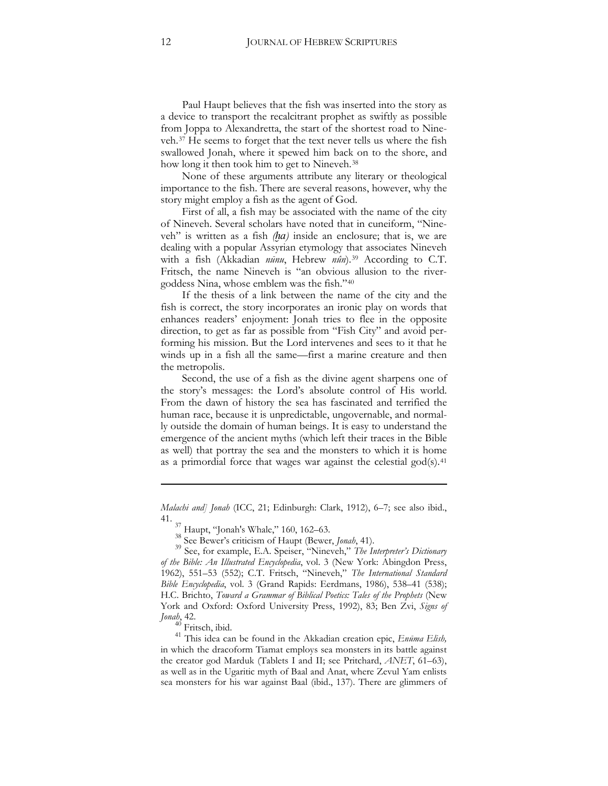Paul Haupt believes that the fish was inserted into the story as a device to transport the recalcitrant prophet as swiftly as possible from Joppa to Alexandretta, the start of the shortest road to Nineveh.[37](#page-11-0) He seems to forget that the text never tells us where the fish swallowed Jonah, where it spewed him back on to the shore, and how long it then took him to get to Nineveh.[38](#page-11-1)

None of these arguments attribute any literary or theological importance to the fish. There are several reasons, however, why the story might employ a fish as the agent of God.

First of all, a fish may be associated with the name of the city of Nineveh. Several scholars have noted that in cuneiform, "Nineveh" is written as a fish *(ha)* inside an enclosure; that is, we are dealing with a popular Assyrian etymology that associates Nineveh with a fish (Akkadian *nūnu*, Hebrew *nûn*).<sup>[39](#page-11-2)</sup> According to C.T. Fritsch, the name Nineveh is "an obvious allusion to the rivergoddess Nina, whose emblem was the fish."[40](#page-11-3)

If the thesis of a link between the name of the city and the fish is correct, the story incorporates an ironic play on words that enhances readers' enjoyment: Jonah tries to flee in the opposite direction, to get as far as possible from "Fish City" and avoid performing his mission. But the Lord intervenes and sees to it that he winds up in a fish all the same—first a marine creature and then the metropolis.

Second, the use of a fish as the divine agent sharpens one of the story's messages: the Lord's absolute control of His world. From the dawn of history the sea has fascinated and terrified the human race, because it is unpredictable, ungovernable, and normally outside the domain of human beings. It is easy to understand the emergence of the ancient myths (which left their traces in the Bible as well) that portray the sea and the monsters to which it is home as a primordial force that wages war against the celestial god(s).<sup>[41](#page-11-4)</sup>

<u>.</u>

*Malachi and*] *Jonah* (ICC, 21; Edinburgh: Clark, 1912), 6-7; see also ibid., 41.

 $^{37}_{1}$  Haupt, "Jonah's Whale," 160, 162–63.

<span id="page-11-2"></span><span id="page-11-1"></span><span id="page-11-0"></span><sup>38</sup> See Bewer's criticism of Haupt (Bewer, *Jonah*, 41). <sup>39</sup> See, for example, E.A. Speiser, "Nineveh," *The Interpreter's Dictionary of the Bible: An Illustrated Encyclopedia*, vol. 3 (New York: Abingdon Press, 1962), 551-53 (552); C.T. Fritsch, "Nineveh," *The International Standard Bible Encyclopedia*, vol. 3 (Grand Rapids: Eerdmans, 1986), 538–41 (538)` H.C. Brichto, *Toward a Grammar of Biblical Poetics: Tales of the Prophets* (New York and Oxford: Oxford University Press, 1992), 83; Ben Zvi, Signs of *Jonah*, 42.

<span id="page-11-4"></span><span id="page-11-3"></span><sup>41</sup> This idea can be found in the Akkadian creation epic, *Enūma Elish*, in which the dracoform Tiamat employs sea monsters in its battle against the creator god Marduk (Tablets I and II; see Pritchard, *ANET*, 61–63), as well as in the Ugaritic myth of Baal and Anat, where Zevul Yam enlists sea monsters for his war against Baal (ibid., 137). There are glimmers of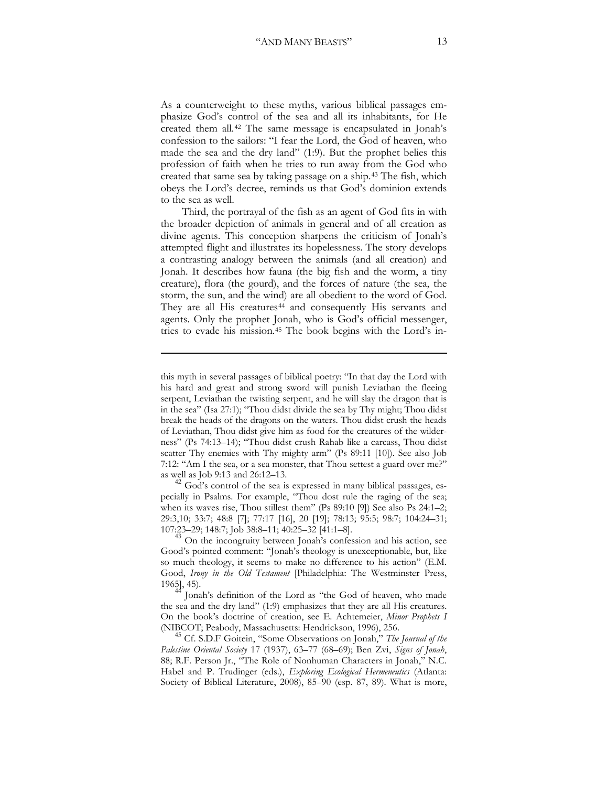As a counterweight to these myths, various biblical passages emphasize God's control of the sea and all its inhabitants, for He created them all.[42](#page-12-0) The same message is encapsulated in Jonah's confession to the sailors: "I fear the Lord, the God of heaven, who made the sea and the dry land" (1:9). But the prophet belies this profession of faith when he tries to run away from the God who created that same sea by taking passage on a ship.[43](#page-12-1) The fish, which obeys the Lord's decree, reminds us that God's dominion extends to the sea as well.

Third, the portrayal of the fish as an agent of God fits in with the broader depiction of animals in general and of all creation as divine agents. This conception sharpens the criticism of Jonah's attempted flight and illustrates its hopelessness. The story develops a contrasting analogy between the animals (and all creation) and Jonah. It describes how fauna (the big fish and the worm, a tiny creature), flora (the gourd), and the forces of nature (the sea, the storm, the sun, and the wind) are all obedient to the word of God. They are all His creatures<sup>44</sup> and consequently His servants and agents. Only the prophet Jonah, who is God's official messenger, tries to evade his mission.[45](#page-12-3) The book begins with the Lord's in-

<u>.</u>

<span id="page-12-0"></span> $42$  God's control of the sea is expressed in many biblical passages, especially in Psalms. For example, "Thou dost rule the raging of the sea; when its waves rise, Thou stillest them" (Ps 89:10 [9]) See also Ps 24:1-2; 29:3,10; 33:7; 48:8 [7]; 77:17 [16], 20 [19]; 78:13; 95:5; 98:7; 104:24–31; 107:23–29; 148:7; Job 38:8–11; 40:25–32 [41:1–8].

<span id="page-12-1"></span> $\frac{135}{23}$  On the incongruity between Jonah's confession and his action, see Good's pointed comment: "Jonah's theology is unexceptionable, but, like so much theology, it seems to make no difference to his action" (E.M. Good, *Irony in the Old Testament* [Philadelphia: The Westminster Press, 1965], 45). 44 Jonah's definition of the Lord as "the God of heaven, who made

<span id="page-12-2"></span>the sea and the dry land" (1:9) emphasizes that they are all His creatures. On the book's doctrine of creation, see E. Achtemeier, *Minor Prophets I* (NIBCOT; Peabody, Massachusetts: Hendrickson, 1996), 256. 45 Cf. S.D.F Goitein, "Some Observations on Jonah," *The Journal of the* 

<span id="page-12-3"></span>*Palestine Oriental Society* 17 (1937), 63–77 (68–69)` Ben Zvi, *Signs of Jonah*, 88; R.F. Person Jr., "The Role of Nonhuman Characters in Jonah," N.C. Habel and P. Trudinger (eds.), *Exploring Ecological Hermeneutics* (Atlanta: Society of Biblical Literature, 2008), 85–90 (esp. 87, 89). What is more,

this myth in several passages of biblical poetry: "In that day the Lord with his hard and great and strong sword will punish Leviathan the fleeing serpent, Leviathan the twisting serpent, and he will slay the dragon that is in the sea" (Isa 27:1); "Thou didst divide the sea by Thy might; Thou didst break the heads of the dragons on the waters. Thou didst crush the heads of Leviathan, Thou didst give him as food for the creatures of the wilderness" (Ps 74:13–14); "Thou didst crush Rahab like a carcass, Thou didst scatter Thy enemies with Thy mighty arm" (Ps 89:11 [10]). See also Job 7:12: "Am I the sea, or a sea monster, that Thou settest a guard over me?" as well as Job 9:13 and 26:12–13.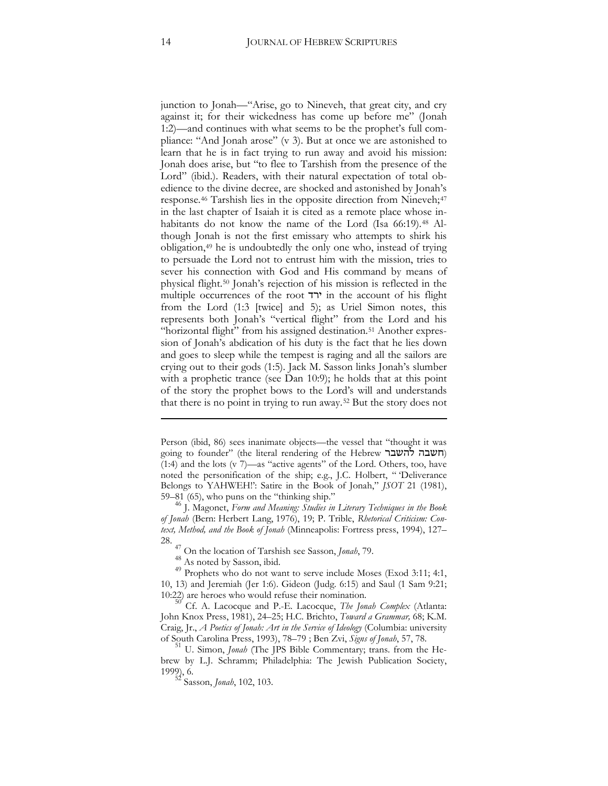junction to Jonah—"Arise, go to Nineveh, that great city, and cry against it; for their wickedness has come up before me" (Jonah 1:2)—and continues with what seems to be the prophet's full compliance: "And Jonah arose" (v 3). But at once we are astonished to learn that he is in fact trying to run away and avoid his mission: Jonah does arise, but "to flee to Tarshish from the presence of the Lord" (ibid.). Readers, with their natural expectation of total obedience to the divine decree, are shocked and astonished by Jonah's response.<sup>46</sup> Tarshish lies in the opposite direction from Nineveh;<sup>[47](#page-13-1)</sup> in the last chapter of Isaiah it is cited as a remote place whose in-habitants do not know the name of the Lord (Isa 66:19).<sup>[48](#page-13-2)</sup> Although Jonah is not the first emissary who attempts to shirk his obligation[,49](#page-13-3) he is undoubtedly the only one who, instead of trying to persuade the Lord not to entrust him with the mission, tries to sever his connection with God and His command by means of physical flight.[50](#page-13-4) Jonah's rejection of his mission is reflected in the multiple occurrences of the root  $\tau$  in the account of his flight from the Lord  $(1:3$  [twice] and 5); as Uriel Simon notes, this represents both Jonah's "vertical flight" from the Lord and his "horizontal flight" from his assigned destination.<sup>[51](#page-13-5)</sup> Another expression of Jonah's abdication of his duty is the fact that he lies down and goes to sleep while the tempest is raging and all the sailors are crying out to their gods (1:5). Jack M. Sasson links Jonah's slumber with a prophetic trance (see Dan  $10:9$ ); he holds that at this point of the story the prophet bows to the Lord's will and understands that there is no point in trying to run away.[52](#page-13-6) But the story does not

<u>.</u>

Person (ibid, 86) sees inanimate objects—the vessel that "thought it was going to founder" (the literal rendering of the Hebrew תשבה להשבר (1:4) and the lots (v 7)—as "active agents" of the Lord. Others, too, have noted the personification of the ship; e.g., J.C. Holbert, " 'Deliverance Belongs to YAHWEH!': Satire in the Book of Jonah," *JSOT* 21 (1981),

<span id="page-13-0"></span><sup>59–81 (65),</sup> who puns on the "thinking ship." <sup>46</sup> J. Magonet, *Form and Meaning: Studies in Literary Techniques in the Book*  of Jonah (Bern: Herbert Lang, 1976), 19; P. Trible, *Rhetorical Criticism: Context, Method, and the Book of Jonah* (Minneapolis: Fortress press, 1994), 127– 28.

<span id="page-13-3"></span><span id="page-13-2"></span><span id="page-13-1"></span><sup>&</sup>lt;sup>47</sup> On the location of Tarshish see Sasson, *Jonah*, 79.<br><sup>48</sup> As noted by Sasson, ibid. <sup>49</sup> Prophets who do not want to serve include Moses (Exod 3:11; 4:1, 10, 13) and Jeremiah (Jer 1:6). Gideon (Judg. 6:15) and Saul (1 Sam 9:21` 10:22) are heroes who would refuse their nomination.

<span id="page-13-4"></span><sup>50</sup> Cf. A. Lacocque and P.-E. Lacocque, *The Jonah Complex* (Atlanta: John Knox Press, 1981), 24-25; H.C. Brichto, *Toward a Grammar*, 68; K.M. Craig, Jr., *A Poetics of Jonah: Art in the Service of Ideology* (Columbia: university of South Carolina Press, 1993), 78–79 ; Ben Zvi, *Signs of Jonah*, 57, 78.<br><sup>51</sup> U. Simon, *Jonah* (The JPS Bible Commentary; trans. from the He-

<span id="page-13-6"></span><span id="page-13-5"></span>brew by L.J. Schramm; Philadelphia: The Jewish Publication Society, 1999), 6.

Sasson, *Jonah*, 102, 103.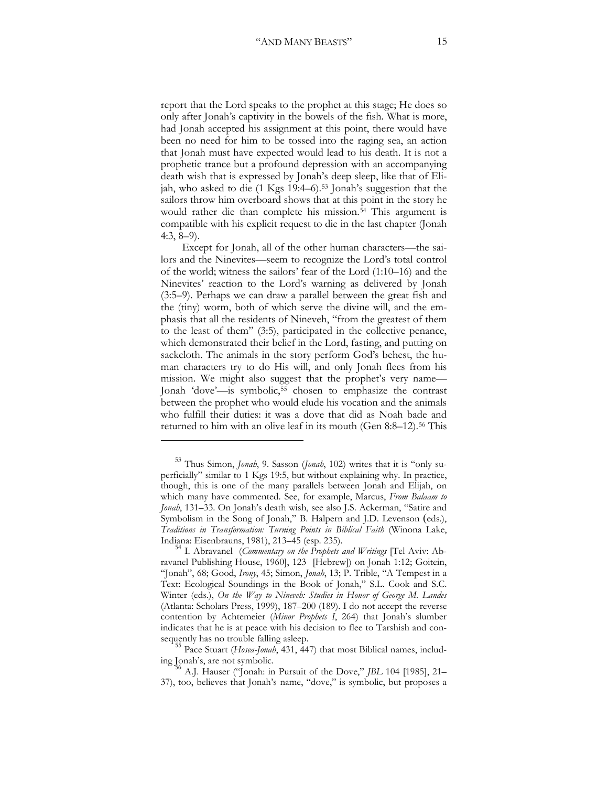report that the Lord speaks to the prophet at this stage; He does so only after Jonah's captivity in the bowels of the fish. What is more, had Jonah accepted his assignment at this point, there would have been no need for him to be tossed into the raging sea, an action that Jonah must have expected would lead to his death. It is not a prophetic trance but a profound depression with an accompanying death wish that is expressed by Jonah's deep sleep, like that of Elijah, who asked to die (1 Kgs 19:4–6).[53](#page-14-0) Jonah's suggestion that the sailors throw him overboard shows that at this point in the story he would rather die than complete his mission.<sup>[54](#page-14-1)</sup> This argument is compatible with his explicit request to die in the last chapter (Jonah 4:3, 8–9).

Except for Jonah, all of the other human characters—the sailors and the Ninevites—seem to recognize the Lord's total control of the world` witness the sailors' fear of the Lord (1:10–16) and the Ninevites' reaction to the Lord's warning as delivered by Jonah (3:5–9). Perhaps we can draw a parallel between the great fish and the (tiny) worm, both of which serve the divine will, and the emphasis that all the residents of Nineveh, "from the greatest of them to the least of them" (3:5), participated in the collective penance, which demonstrated their belief in the Lord, fasting, and putting on sackcloth. The animals in the story perform God's behest, the human characters try to do His will, and only Jonah flees from his mission. We might also suggest that the prophet's very name— Jonah 'dove'—is symbolic,[55](#page-14-2) chosen to emphasize the contrast between the prophet who would elude his vocation and the animals who fulfill their duties: it was a dove that did as Noah bade and returned to him with an olive leaf in its mouth (Gen 8:8–12).<sup>[56](#page-14-3)</sup> This

<span id="page-14-0"></span><sup>53</sup> Thus Simon, *Jonah*, 9. Sasson (*Jonah*, 102) writes that it is "only superficially" similar to 1 Kgs 19:5, but without explaining why. In practice, though, this is one of the many parallels between Jonah and Elijah, on which many have commented. See, for example, Marcus, *From Balaam to Jonah*, 131–33. On Jonah's death wish, see also J.S. Ackerman, "Satire and Symbolism in the Song of Jonah," B. Halpern and J.D. Levenson (eds.), *Traditions in Transformation: Turning Points in Biblical Faith* (Winona Lake,

<span id="page-14-1"></span>Indiana: Eisenbrauns, 1981), 213–45 (esp. 235). <sup>54</sup> I. Abravanel (*Commentary on the Prophets and Writings* [Tel Aviv: Abravanel Publishing House, 1960], 123 [Hebrew]) on Jonah 1:12; Goitein, "Jonah", 68; Good, *Irony*, 45; Simon, *Jonah*, 13; P. Trible, "A Tempest in a Text: Ecological Soundings in the Book of Jonah," S.L. Cook and S.C. Winter (eds.), *On the Way to Nineveh: Studies in Honor of George M. Landes* (Atlanta: Scholars Press, 1999), 187–200 (189). I do not accept the reverse contention by Achtemeier (*Minor Prophets I*, 264) that Jonah's slumber indicates that he is at peace with his decision to flee to Tarshish and con-

<span id="page-14-2"></span>sequently has no trouble falling asleep.<br><sup>55</sup> Pace Stuart (*Hosea-Jonah*, 431, 447) that most Biblical names, includ-<br>ing Jonah's, are not symbolic.

<span id="page-14-3"></span>A.J. Hauser ("Jonah: in Pursuit of the Dove," *JBL* 104 [1985], 21– 37), too, believes that Jonah's name, "dove," is symbolic, but proposes a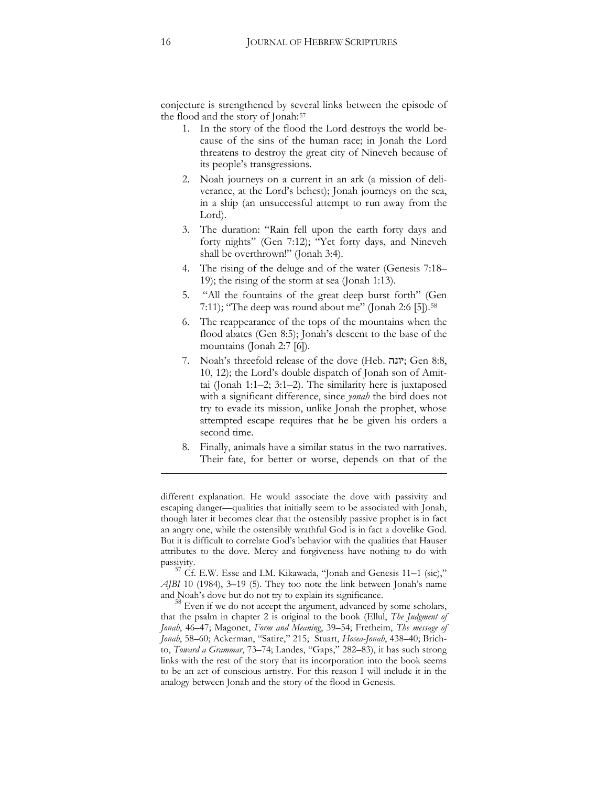conjecture is strengthened by several links between the episode of the flood and the story of Jonah:[57](#page-15-0)

- 1. In the story of the flood the Lord destroys the world because of the sins of the human race; in Jonah the Lord threatens to destroy the great city of Nineveh because of its people's transgressions.
- 2. Noah journeys on a current in an ark (a mission of deliverance, at the Lord's behest); Jonah journeys on the sea, in a ship (an unsuccessful attempt to run away from the Lord).
- 3. The duration: "Rain fell upon the earth forty days and forty nights" (Gen 7:12); "Yet forty days, and Nineveh shall be overthrown!" (Jonah 3:4).
- 4. The rising of the deluge and of the water (Genesis 7:18– 19); the rising of the storm at sea (Jonah 1:13).
- 5. "All the fountains of the great deep burst forth" (Gen 7:11); "The deep was round about me" (Jonah 2:6 [5]).<sup>[58](#page-15-1)</sup>
- 6. The reappearance of the tops of the mountains when the flood abates (Gen 8:5); Jonah's descent to the base of the mountains (Jonah 2:7 [6]).
- 7. Noah's threefold release of the dove (Heb. יונה: Gen 8:8, 10, 12); the Lord's double dispatch of Jonah son of Amittai (Jonah 1:1–2; 3:1–2). The similarity here is juxtaposed with a significant difference, since *yonah* the bird does not try to evade its mission, unlike Jonah the prophet, whose attempted escape requires that he be given his orders a second time.
- 8. Finally, animals have a similar status in the two narratives. Their fate, for better or worse, depends on that of the

different explanation. He would associate the dove with passivity and escaping danger—qualities that initially seem to be associated with Jonah, though later it becomes clear that the ostensibly passive prophet is in fact an angry one, while the ostensibly wrathful God is in fact a dovelike God. But it is difficult to correlate God's behavior with the qualities that Hauser attributes to the dove. Mercy and forgiveness have nothing to do with

<span id="page-15-0"></span>passivity.<br><sup>57</sup> Cf. E.W. Esse and I.M. Kikawada, "Jonah and Genesis 11–1 (sic)," *AJBI* 10 (1984), 3–19 (5). They too note the link between Jonah's name

<span id="page-15-1"></span> $58$  Even if we do not accept the argument, advanced by some scholars, that the psalm in chapter 2 is original to the book (Ellul, *The Judgment of* Jonah, 46-47; Magonet, *Form and Meaning*, 39-54; Fretheim, *The message of* Jonah, 58-60; Ackerman, "Satire," 215; Stuart, *Hosea-Jonah*, 438-40; Brichto, *Toward a Grammar*, 73-74; Landes, "Gaps," 282-83), it has such strong links with the rest of the story that its incorporation into the book seems to be an act of conscious artistry. For this reason I will include it in the analogy between Jonah and the story of the flood in Genesis.

**.**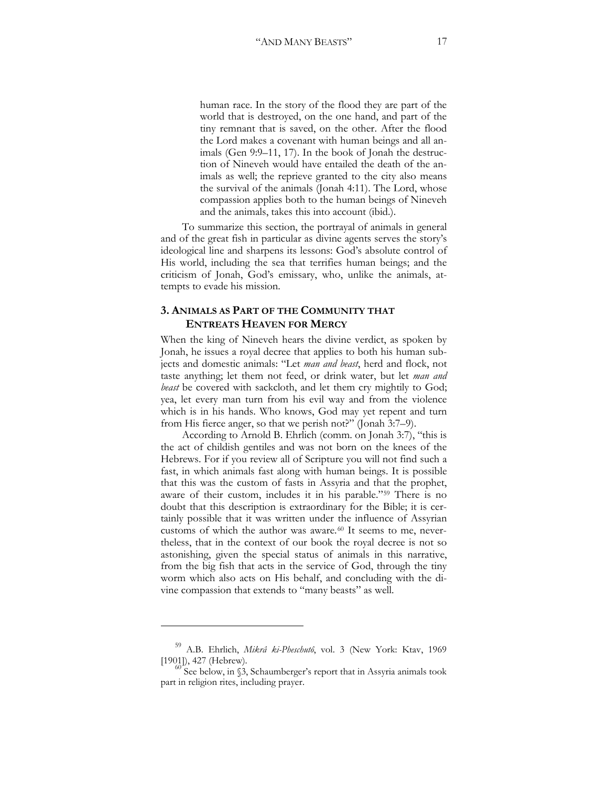human race. In the story of the flood they are part of the world that is destroyed, on the one hand, and part of the tiny remnant that is saved, on the other. After the flood the Lord makes a covenant with human beings and all animals (Gen 9:9–11, 17). In the book of Jonah the destruction of Nineveh would have entailed the death of the animals as well; the reprieve granted to the city also means the survival of the animals (Jonah 4:11). The Lord, whose compassion applies both to the human beings of Nineveh and the animals, takes this into account (ibid.).

To summarize this section, the portrayal of animals in general and of the great fish in particular as divine agents serves the story's ideological line and sharpens its lessons: God's absolute control of His world, including the sea that terrifies human beings; and the criticism of Jonah, God's emissary, who, unlike the animals, attempts to evade his mission.

### **3. ANIMALS AS PART OF THE COMMUNITY THAT ENTREATS HEAVEN FOR MERCY**

When the king of Nineveh hears the divine verdict, as spoken by Jonah, he issues a royal decree that applies to both his human subjects and domestic animals: "Let *man and beast*, herd and flock, not taste anything; let them not feed, or drink water, but let *man and beast* be covered with sackcloth, and let them cry mightily to God; yea, let every man turn from his evil way and from the violence which is in his hands. Who knows, God may yet repent and turn from His fierce anger, so that we perish not?" (Jonah 3:7–9).

According to Arnold B. Ehrlich (comm. on Jonah 3:7), "this is the act of childish gentiles and was not born on the knees of the Hebrews. For if you review all of Scripture you will not find such a fast, in which animals fast along with human beings. It is possible that this was the custom of fasts in Assyria and that the prophet, aware of their custom, includes it in his parable."[59](#page-16-0) There is no doubt that this description is extraordinary for the Bible; it is certainly possible that it was written under the influence of Assyrian customs of which the author was aware.<sup>[60](#page-16-1)</sup> It seems to me, nevertheless, that in the context of our book the royal decree is not so astonishing, given the special status of animals in this narrative, from the big fish that acts in the service of God, through the tiny worm which also acts on His behalf, and concluding with the divine compassion that extends to "many beasts" as well.

 $\ddot{\phantom{a}}$ 

<span id="page-16-0"></span><sup>59</sup> A.B. Ehrlich, *Mikrâ ki-Pheschutô*, vol. 3 (New York: Ktav, 1969 [1901]), 427 (Hebrew).  $^{60}$  See below, in §3, Schaumberger's report that in Assyria animals took

<span id="page-16-1"></span>part in religion rites, including prayer.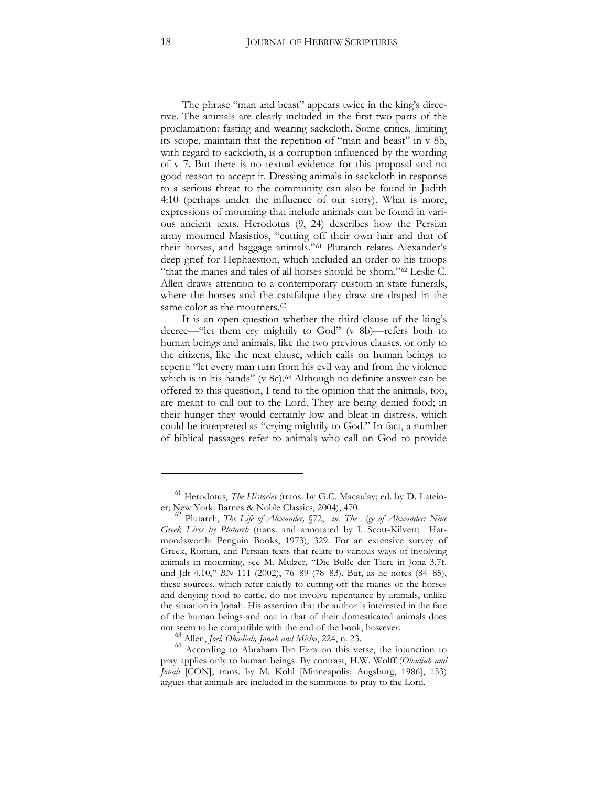The phrase "man and beast" appears twice in the king's directive. The animals are clearly included in the first two parts of the proclamation: fasting and wearing sackcloth. Some critics, limiting its scope, maintain that the repetition of "man and beast" in v 8b, with regard to sackcloth, is a corruption influenced by the wording of v 7. But there is no textual evidence for this proposal and no good reason to accept it. Dressing animals in sackcloth in response to a serious threat to the community can also be found in Judith 4:10 (perhaps under the influence of our story). What is more, expressions of mourning that include animals can be found in various ancient texts. Herodotus (9, 24) describes how the Persian army mourned Masistios, "cutting off their own hair and that of their horses, and baggage animals."[61](#page-17-0) Plutarch relates Alexander's deep grief for Hephaestion, which included an order to his troops "that the manes and tales of all horses should be shorn."[62](#page-17-1) Leslie C. Allen draws attention to a contemporary custom in state funerals, where the horses and the catafalque they draw are draped in the same color as the mourners.<sup>[63](#page-17-2)</sup>

It is an open question whether the third clause of the king's decree—"let them cry mightily to God" (v 8b)—refers both to human beings and animals, like the two previous clauses, or only to the citizens, like the next clause, which calls on human beings to repent: "let every man turn from his evil way and from the violence which is in his hands" (v 8c).<sup>[64](#page-17-3)</sup> Although no definite answer can be offered to this question, I tend to the opinion that the animals, too, are meant to call out to the Lord. They are being denied food; in their hunger they would certainly low and bleat in distress, which could be interpreted as "crying mightily to God." In fact, a number of biblical passages refer to animals who call on God to provide

<span id="page-17-0"></span><sup>&</sup>lt;sup>61</sup> Herodotus, *The Histories* (trans. by G.C. Macaulay; ed. by D. Latein-<br>er; New York: Barnes & Noble Classics, 2004), 470.

<span id="page-17-1"></span>Plutarch, The Life of Alexander, §72, in: The Age of Alexander: Nine Greek Lives by Plutarch (trans. and annotated by I. Scott-Kilvert; Harmondsworth: Penguin Books, 1973), 329. For an extensive survey of Greek, Roman, and Persian texts that relate to various ways of involving animals in mourning, see M. Mulzer, "Die Buße der Tiere in Jona 3,7f. und Jdt 4,10," *BN* 111 (2002), 76–89 (78–83). But, as he notes (84–85), these sources, which refer chiefly to cutting off the manes of the horses and denying food to cattle, do not involve repentance by animals, unlike the situation in Jonah. His assertion that the author is interested in the fate of the human beings and not in that of their domesticated animals does

<span id="page-17-3"></span><span id="page-17-2"></span>not seem to be compatible with the end of the book, however.<br><sup>63</sup> Allen, *Joel, Obadiah, Jonah and Micha*, 224, n. 23.<br><sup>64</sup> According to Abraham Ibn Ezra on this verse, the injunction to pray applies only to human beings. By contrast, H.W. Wolff (*Obadiah and*  Jonah [CON]; trans. by M. Kohl [Minneapolis: Augsburg, 1986], 153) argues that animals are included in the summons to pray to the Lord.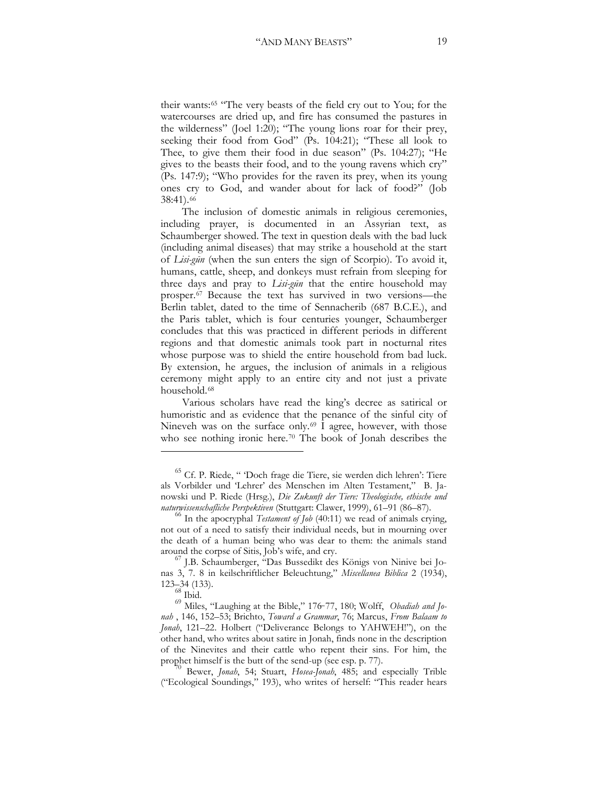their wants:<sup>[65](#page-18-0)</sup> "The very beasts of the field cry out to You; for the watercourses are dried up, and fire has consumed the pastures in the wilderness" (Joel 1:20); "The young lions roar for their prey, seeking their food from God" (Ps. 104:21); "These all look to Thee, to give them their food in due season" (Ps. 104:27); "He gives to the beasts their food, and to the young ravens which cry" (Ps. 147:9); "Who provides for the raven its prey, when its young ones cry to God, and wander about for lack of food?" (Job 38:41).[66](#page-18-1)

The inclusion of domestic animals in religious ceremonies, including prayer, is documented in an Assyrian text, as Schaumberger showed. The text in question deals with the bad luck (including animal diseases) that may strike a household at the start of *Lisi-gūn* (when the sun enters the sign of Scorpio). To avoid it, humans, cattle, sheep, and donkeys must refrain from sleeping for three days and pray to *Lisi-gūn* that the entire household may prosper.[67](#page-18-2) Because the text has survived in two versions—the Berlin tablet, dated to the time of Sennacherib (687 B.C.E.), and the Paris tablet, which is four centuries younger, Schaumberger concludes that this was practiced in different periods in different regions and that domestic animals took part in nocturnal rites whose purpose was to shield the entire household from bad luck. By extension, he argues, the inclusion of animals in a religious ceremony might apply to an entire city and not just a private household.[68](#page-18-3)

Various scholars have read the king's decree as satirical or humoristic and as evidence that the penance of the sinful city of Nineveh was on the surface only.<sup>[69](#page-18-4)</sup> I agree, however, with those who see nothing ironic here.<sup>[70](#page-18-5)</sup> The book of Jonah describes the

 $\overline{a}$ 

<span id="page-18-5"></span>("Ecological Soundings," 193), who writes of herself: "This reader hears

<span id="page-18-0"></span><sup>65</sup> Cf. P. Riede, " 'Doch frage die Tiere, sie werden dich lehren': Tiere als Vorbilder und 'Lehrer' des Menschen im Alten Testament," B. Janowski und P. Riede (Hrsg.), *Die Zukunft der Tiere: Theologische, ethische und* 

<span id="page-18-1"></span><sup>&</sup>lt;sup>66</sup> In the apocryphal *Testament of Job* (40:11) we read of animals crying, not out of a need to satisfy their individual needs, but in mourning over the death of a human being who was dear to them: the animals stand

<span id="page-18-2"></span>around the corpse of Sitis, Job's wife, and cry. <sup>67</sup> J.B. Schaumberger, "Das Bussedikt des Königs von Ninive bei Jonas 3, 7. 8 in keilschriftlicher Beleuchtung," *Miscellanea Biblica* 2 (1934), 123–34 (133).

 $^{68}$  Ibid.

<span id="page-18-4"></span><span id="page-18-3"></span><sup>&</sup>lt;sup>69</sup> Miles, "Laughing at the Bible," 176-77, 180; Wolff, *Obadiah and Jonah* , 146, 152–53` Brichto, *Toward a Grammar*, 76` Marcus, *From Balaam to Jonah*, 121–22. Holbert ("Deliverance Belongs to YAHWEH!"), on the other hand, who writes about satire in Jonah, finds none in the description of the Ninevites and their cattle who repent their sins. For him, the prophet himself is the butt of the send-up (see esp. p. 77).<br><sup>70</sup> Bewer, *Jonah*, 54; Stuart, *Hosea-Jonah*, 485; and especially Trible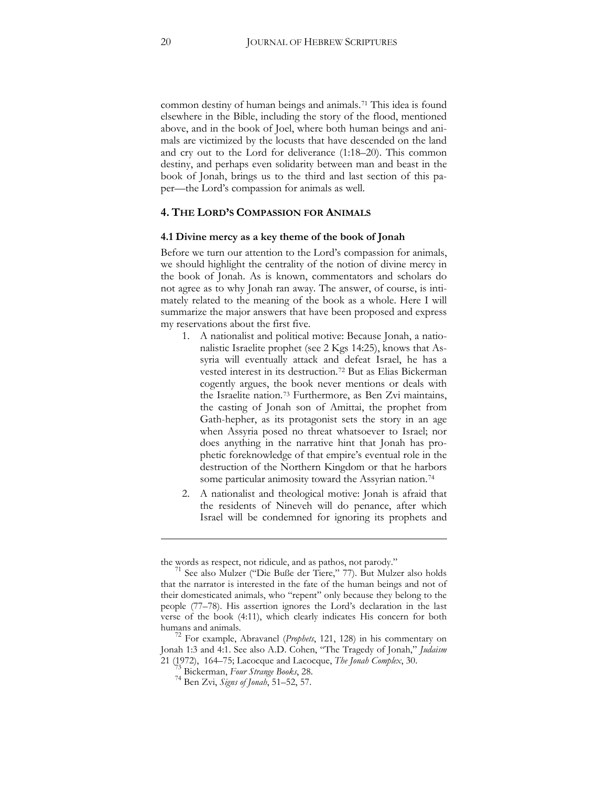common destiny of human beings and animals.[71](#page-19-0) This idea is found elsewhere in the Bible, including the story of the flood, mentioned above, and in the book of Joel, where both human beings and animals are victimized by the locusts that have descended on the land and cry out to the Lord for deliverance (1:18–20). This common destiny, and perhaps even solidarity between man and beast in the book of Jonah, brings us to the third and last section of this paper—the Lord's compassion for animals as well.

#### **4. THE LORD'S COMPASSION FOR ANIMALS**

#### **4.1 Divine mercy as a key theme of the book of Jonah**

Before we turn our attention to the Lord's compassion for animals, we should highlight the centrality of the notion of divine mercy in the book of Jonah. As is known, commentators and scholars do not agree as to why Jonah ran away. The answer, of course, is intimately related to the meaning of the book as a whole. Here I will summarize the major answers that have been proposed and express my reservations about the first five.

- 1. A nationalist and political motive: Because Jonah, a nationalistic Israelite prophet (see 2 Kgs 14:25), knows that Assyria will eventually attack and defeat Israel, he has a vested interest in its destruction.[72](#page-19-1) But as Elias Bickerman cogently argues, the book never mentions or deals with the Israelite nation.[73](#page-19-2) Furthermore, as Ben Zvi maintains, the casting of Jonah son of Amittai, the prophet from Gath-hepher, as its protagonist sets the story in an age when Assyria posed no threat whatsoever to Israel; nor does anything in the narrative hint that Jonah has prophetic foreknowledge of that empire's eventual role in the destruction of the Northern Kingdom or that he harbors some particular animosity toward the Assyrian nation.<sup>[74](#page-19-3)</sup>
- 2. A nationalist and theological motive: Jonah is afraid that the residents of Nineveh will do penance, after which Israel will be condemned for ignoring its prophets and

<u>.</u>

<span id="page-19-0"></span>

the words as respect, not ridicule, and as pathos, not parody."<br><sup>71</sup> See also Mulzer ("Die Buße der Tiere," 77). But Mulzer also holds that the narrator is interested in the fate of the human beings and not of their domesticated animals, who "repent" only because they belong to the people (77–78). His assertion ignores the Lord's declaration in the last verse of the book (4:11), which clearly indicates His concern for both

<span id="page-19-3"></span><span id="page-19-2"></span><span id="page-19-1"></span>humans and animals. <sup>72</sup> For example, Abravanel (*Prophets*, 121, 128) in his commentary on Jonah 1:3 and 4:1. See also A.D. Cohen, "The Tragedy of Jonah," *Judaism* <sup>21</sup> (1972), 164–75` Lacocque and Lacocque, *The Jonah Complex*, 30. <sup>73</sup> Bickerman, *Four Strange Books*, 28. <sup>74</sup> Ben Zvi, *Signs of Jonah*, 51–52, 57.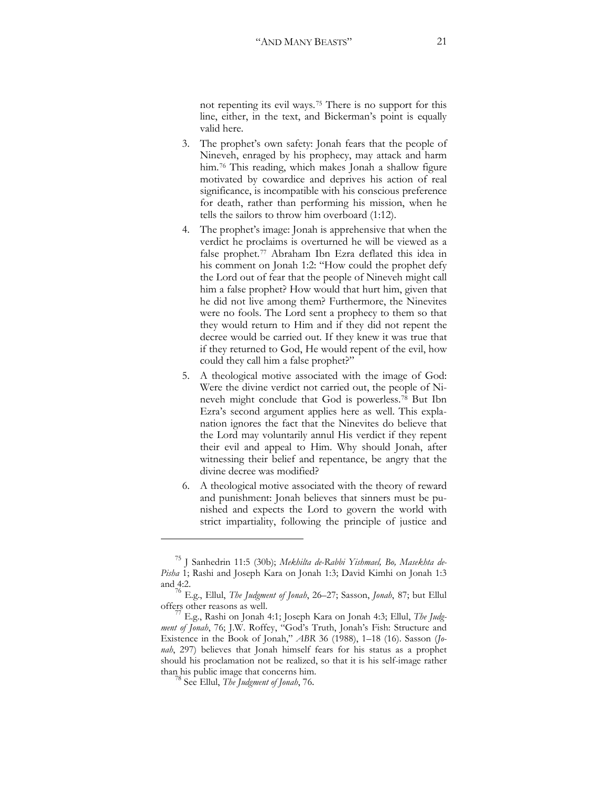not repenting its evil ways.[75](#page-20-0) There is no support for this line, either, in the text, and Bickerman's point is equally valid here.

- 3. The prophet's own safety: Jonah fears that the people of Nineveh, enraged by his prophecy, may attack and harm him.<sup>[76](#page-20-1)</sup> This reading, which makes Jonah a shallow figure motivated by cowardice and deprives his action of real significance, is incompatible with his conscious preference for death, rather than performing his mission, when he tells the sailors to throw him overboard (1:12).
- 4. The prophet's image: Jonah is apprehensive that when the verdict he proclaims is overturned he will be viewed as a false prophet.[77](#page-20-2) Abraham Ibn Ezra deflated this idea in his comment on Jonah 1:2: "How could the prophet defy the Lord out of fear that the people of Nineveh might call him a false prophet? How would that hurt him, given that he did not live among them? Furthermore, the Ninevites were no fools. The Lord sent a prophecy to them so that they would return to Him and if they did not repent the decree would be carried out. If they knew it was true that if they returned to God, He would repent of the evil, how could they call him a false prophet?"
- 5. A theological motive associated with the image of God: Were the divine verdict not carried out, the people of Nineveh might conclude that God is powerless.[78](#page-20-3) But Ibn Ezra's second argument applies here as well. This explanation ignores the fact that the Ninevites do believe that the Lord may voluntarily annul His verdict if they repent their evil and appeal to Him. Why should Jonah, after witnessing their belief and repentance, be angry that the divine decree was modified?
- 6. A theological motive associated with the theory of reward and punishment: Jonah believes that sinners must be punished and expects the Lord to govern the world with strict impartiality, following the principle of justice and

<span id="page-20-0"></span><sup>&</sup>lt;sup>75</sup> J Sanhedrin 11:5 (30b); Mekhilta de-Rabbi Yishmael, Bo, Masekhta de-Pisha 1; Rashi and Joseph Kara on Jonah 1:3; David Kimhi on Jonah 1:3 and 4:2.

<span id="page-20-1"></span><sup>&</sup>lt;sup>76</sup> E.g., Ellul, *The Judgment of Jonah*, 26–27; Sasson, *Jonah*, 87; but Ellul offers other reasons as well.

<span id="page-20-3"></span><span id="page-20-2"></span>E.g., Rashi on Jonah 4:1; Joseph Kara on Jonah 4:3; Ellul, *The Judg*ment of Jonah, 76; J.W. Roffey, "God's Truth, Jonah's Fish: Structure and Existence in the Book of Jonah," *ABR* 36 (1988), 1–18 (16). Sasson (*Jonah*, 297) believes that Jonah himself fears for his status as a prophet should his proclamation not be realized, so that it is his self-image rather than his public image that concerns him. <sup>78</sup> See Ellul, *The Judgment of Jonah*, 76.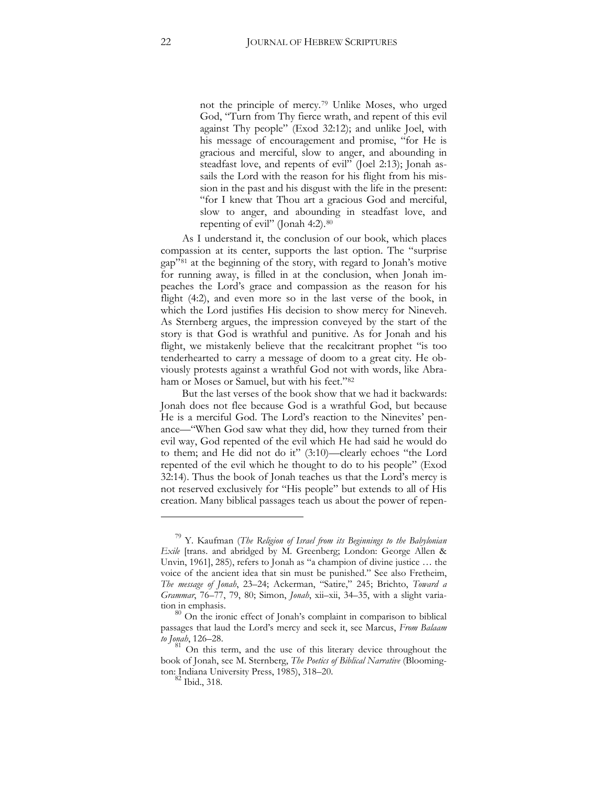not the principle of mercy.[79](#page-21-0) Unlike Moses, who urged God, "Turn from Thy fierce wrath, and repent of this evil against Thy people" (Exod 32:12); and unlike Joel, with his message of encouragement and promise, "for He is gracious and merciful, slow to anger, and abounding in steadfast love, and repents of evil" (Joel 2:13); Jonah assails the Lord with the reason for his flight from his mission in the past and his disgust with the life in the present: "for I knew that Thou art a gracious God and merciful, slow to anger, and abounding in steadfast love, and repenting of evil" (Jonah 4:2).<sup>[80](#page-21-1)</sup>

As I understand it, the conclusion of our book, which places compassion at its center, supports the last option. The "surprise gap"[81](#page-21-2) at the beginning of the story, with regard to Jonah's motive for running away, is filled in at the conclusion, when Jonah impeaches the Lord's grace and compassion as the reason for his flight (4:2), and even more so in the last verse of the book, in which the Lord justifies His decision to show mercy for Nineveh. As Sternberg argues, the impression conveyed by the start of the story is that God is wrathful and punitive. As for Jonah and his flight, we mistakenly believe that the recalcitrant prophet "is too tenderhearted to carry a message of doom to a great city. He obviously protests against a wrathful God not with words, like Abraham or Moses or Samuel, but with his feet."[82](#page-21-3)

But the last verses of the book show that we had it backwards: Jonah does not flee because God is a wrathful God, but because He is a merciful God. The Lord's reaction to the Ninevites' penance—"When God saw what they did, how they turned from their evil way, God repented of the evil which He had said he would do to them; and He did not do it" (3:10)—clearly echoes "the Lord repented of the evil which he thought to do to his people" (Exod 32:14). Thus the book of Jonah teaches us that the Lord's mercy is not reserved exclusively for "His people" but extends to all of His creation. Many biblical passages teach us about the power of repen-

<span id="page-21-0"></span><sup>79</sup> Y. Kaufman (*The Religion of Israel from its Beginnings to the Babylonian Exile* [trans. and abridged by M. Greenberg; London: George Allen & Unvin, 1961], 285), refers to Jonah as "a champion of divine justice … the voice of the ancient idea that sin must be punished." See also Fretheim, *The message of Jonah*, 23–24` Ackerman, "Satire," 245` Brichto, *Toward a Grammar*, 76–77, 79, 80; Simon, *Jonah*, xii–xii, 34–35, with a slight varia-

<span id="page-21-1"></span>tion in emphasis.<br><sup>80</sup> On the ironic effect of Jonah's complaint in comparison to biblical passages that laud the Lord's mercy and seek it, see Marcus, *From Balaam to Jonah*, 126–28.

<span id="page-21-3"></span><span id="page-21-2"></span><sup>81</sup> On this term, and the use of this literary device throughout the book of Jonah, see M. Sternberg, *The Poetics of Biblical Narrative* (Bloomington: Indiana University Press, 1985), 318–20.

 $\sim$  Ibid., 318.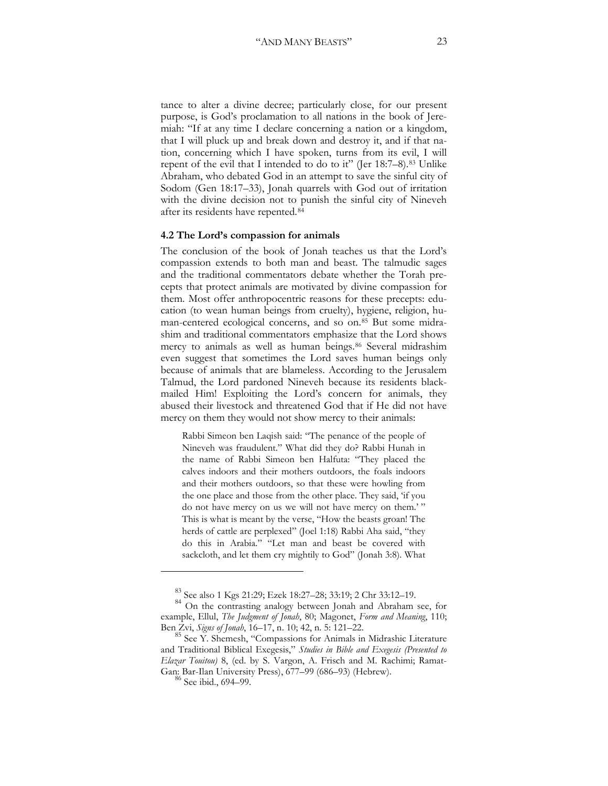tance to alter a divine decree; particularly close, for our present purpose, is God's proclamation to all nations in the book of Jeremiah: "If at any time I declare concerning a nation or a kingdom, that I will pluck up and break down and destroy it, and if that nation, concerning which I have spoken, turns from its evil, I will repent of the evil that I intended to do to it" (Jer 18:7–8).[83](#page-22-0) Unlike Abraham, who debated God in an attempt to save the sinful city of Sodom (Gen 18:17–33), Jonah quarrels with God out of irritation with the divine decision not to punish the sinful city of Nineveh after its residents have repented.[84](#page-22-1)

#### **4.2 The Lord's compassion for animals**

The conclusion of the book of Jonah teaches us that the Lord's compassion extends to both man and beast. The talmudic sages and the traditional commentators debate whether the Torah precepts that protect animals are motivated by divine compassion for them. Most offer anthropocentric reasons for these precepts: education (to wean human beings from cruelty), hygiene, religion, human-centered ecological concerns, and so on.[85](#page-22-2) But some midrashim and traditional commentators emphasize that the Lord shows mercy to animals as well as human beings.<sup>[86](#page-22-3)</sup> Several midrashim even suggest that sometimes the Lord saves human beings only because of animals that are blameless. According to the Jerusalem Talmud, the Lord pardoned Nineveh because its residents blackmailed Him! Exploiting the Lord's concern for animals, they abused their livestock and threatened God that if He did not have mercy on them they would not show mercy to their animals:

Rabbi Simeon ben Laqish said: "The penance of the people of Nineveh was fraudulent." What did they do? Rabbi Hunah in the name of Rabbi Simeon ben Halfuta: "They placed the calves indoors and their mothers outdoors, the foals indoors and their mothers outdoors, so that these were howling from the one place and those from the other place. They said, 'if you do not have mercy on us we will not have mercy on them.'" This is what is meant by the verse, "How the beasts groan! The herds of cattle are perplexed" (Joel 1:18) Rabbi Aha said, "they do this in Arabia." "Let man and beast be covered with sackcloth, and let them cry mightily to God" (Jonah 3:8). What

<sup>&</sup>lt;sup>83</sup> See also 1 Kgs 21:29; Ezek 18:27–28; 33:19; 2 Chr 33:12–19.

<span id="page-22-1"></span><span id="page-22-0"></span><sup>&</sup>lt;sup>84</sup> On the contrasting analogy between Jonah and Abraham see, for example, Ellul, *The Judgment of Jonah*, 80; Magonet, *Form and Meaning*, 110; Ben Zvi, *Signs of Jonah*, 16–17, n. 10` 42, n. 5: 121–22.

<span id="page-22-3"></span><span id="page-22-2"></span><sup>&</sup>lt;sup>85</sup> See Y. Shemesh, "Compassions for Animals in Midrashic Literature and Traditional Biblical Exegesis," *Studies in Bible and Exegesis (Presented to Elazar Touitou)* 8, (ed. by S. Vargon, A. Frisch and M. Rachimi; Ramat-Gan: Bar-Ilan University Press), 677–99 (686–93) (Hebrew). <sup>86</sup> See ibid., 694–99.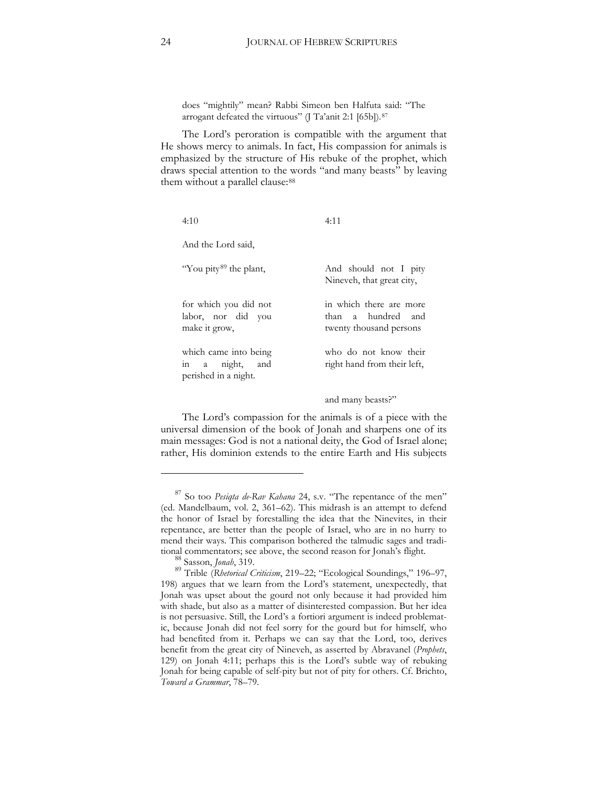does "mightily" mean? Rabbi Simeon ben Halfuta said: "The arrogant defeated the virtuous" (J Ta'anit 2:1 [65b]).<sup>[87](#page-23-0)</sup>

The Lord's peroration is compatible with the argument that He shows mercy to animals. In fact, His compassion for animals is emphasized by the structure of His rebuke of the prophet, which draws special attention to the words "and many beasts" by leaving them without a parallel clause: [88](#page-23-1)

| 4:10                                                             | 4:11                                                                     |
|------------------------------------------------------------------|--------------------------------------------------------------------------|
| And the Lord said,                                               |                                                                          |
| "You pity <sup>89</sup> the plant,                               | And should not I pity<br>Nineveh, that great city,                       |
| for which you did not<br>labor, nor did you<br>make it grow,     | in which there are more<br>than a hundred and<br>twenty thousand persons |
| which came into being<br>in a night, and<br>perished in a night. | who do not know their<br>right hand from their left,                     |

and many beasts?"

The Lord's compassion for the animals is of a piece with the universal dimension of the book of Jonah and sharpens one of its main messages: God is not a national deity, the God of Israel alone; rather, His dominion extends to the entire Earth and His subjects

<span id="page-23-0"></span><sup>87</sup> So too *Pesiqta de-Rav Kahana* 24, s.v. "The repentance of the men" (ed. Mandelbaum, vol. 2, 361–62). This midrash is an attempt to defend the honor of Israel by forestalling the idea that the Ninevites, in their repentance, are better than the people of Israel, who are in no hurry to mend their ways. This comparison bothered the talmudic sages and tradi-

<span id="page-23-2"></span><span id="page-23-1"></span>tional commentators; see above, the second reason for Jonah's flight.<br><sup>88</sup> Sasson, *Jonah*, 319.<br><sup>89</sup> Trible (*Rhetorical Criticism*, 219–22; "Ecological Soundings," 196–97, 198) argues that we learn from the Lord's statement, unexpectedly, that Jonah was upset about the gourd not only because it had provided him with shade, but also as a matter of disinterested compassion. But her idea is not persuasive. Still, the Lord's a fortiori argument is indeed problematic, because Jonah did not feel sorry for the gourd but for himself, who had benefited from it. Perhaps we can say that the Lord, too, derives benefit from the great city of Nineveh, as asserted by Abravanel (*Prophets*, 129) on Jonah 4:11; perhaps this is the Lord's subtle way of rebuking Jonah for being capable of self-pity but not of pity for others. Cf. Brichto, *Toward a Grammar*, 78–79.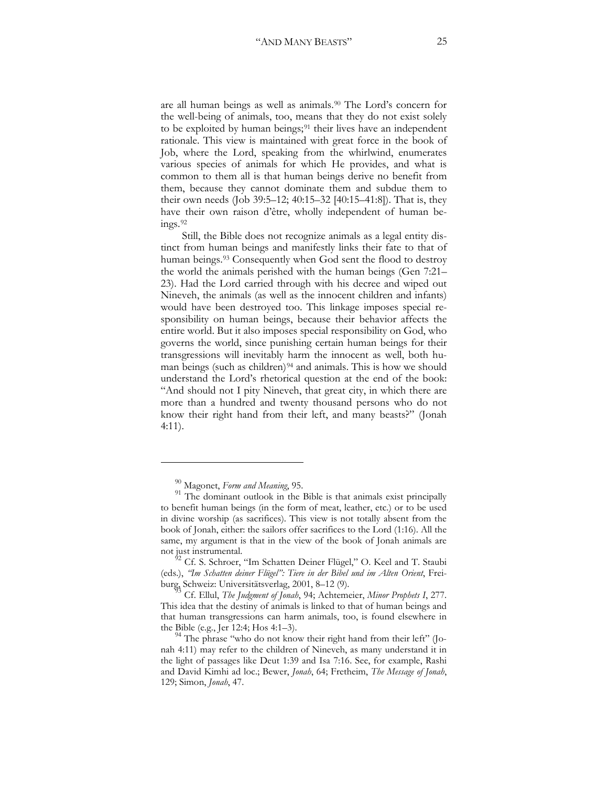are all human beings as well as animals.[90](#page-24-0) The Lord's concern for the well-being of animals, too, means that they do not exist solely to be exploited by human beings; $91$  their lives have an independent rationale. This view is maintained with great force in the book of Job, where the Lord, speaking from the whirlwind, enumerates various species of animals for which He provides, and what is common to them all is that human beings derive no benefit from them, because they cannot dominate them and subdue them to their own needs (Job 39:5–12; 40:15–32 [40:15–41:8]). That is, they have their own raison d'être, wholly independent of human beings.[92](#page-24-2)

Still, the Bible does not recognize animals as a legal entity distinct from human beings and manifestly links their fate to that of human beings.[93](#page-24-3) Consequently when God sent the flood to destroy the world the animals perished with the human beings (Gen 7:21– 23). Had the Lord carried through with his decree and wiped out Nineveh, the animals (as well as the innocent children and infants) would have been destroyed too. This linkage imposes special responsibility on human beings, because their behavior affects the entire world. But it also imposes special responsibility on God, who governs the world, since punishing certain human beings for their transgressions will inevitably harm the innocent as well, both hu-man beings (such as children)<sup>[94](#page-24-4)</sup> and animals. This is how we should understand the Lord's rhetorical question at the end of the book: "And should not I pity Nineveh, that great city, in which there are more than a hundred and twenty thousand persons who do not know their right hand from their left, and many beasts?" (Jonah 4:11).

 $\ddot{\phantom{a}}$ 

<span id="page-24-1"></span><span id="page-24-0"></span><sup>&</sup>lt;sup>90</sup> Magonet, *Form and Meaning*, 95.<br><sup>91</sup> The dominant outlook in the Bible is that animals exist principally to benefit human beings (in the form of meat, leather, etc.) or to be used in divine worship (as sacrifices). This view is not totally absent from the book of Jonah, either: the sailors offer sacrifices to the Lord (1:16). All the same, my argument is that in the view of the book of Jonah animals are not just instrumental.

<span id="page-24-2"></span>Cf. S. Schroer, "Im Schatten Deiner Flügel," O. Keel and T. Staubi (eds.), *"Im Schatten deiner Flügel": Tiere in der Bibel und im Alten Orient*, Frei-

<span id="page-24-3"></span>Cf. Ellul, The Judgment of Jonah, 94; Achtemeier, *Minor Prophets I*, 277. This idea that the destiny of animals is linked to that of human beings and that human transgressions can harm animals, too, is found elsewhere in

<span id="page-24-4"></span><sup>&</sup>lt;sup>44</sup> The phrase "who do not know their right hand from their left" (Jonah 4:11) may refer to the children of Nineveh, as many understand it in the light of passages like Deut 1:39 and Isa 7:16. See, for example, Rashi and David Kimhi ad loc.; Bewer, *Jonah*, 64; Fretheim, *The Message of Jonah*, 129` Simon, *Jonah*, 47.